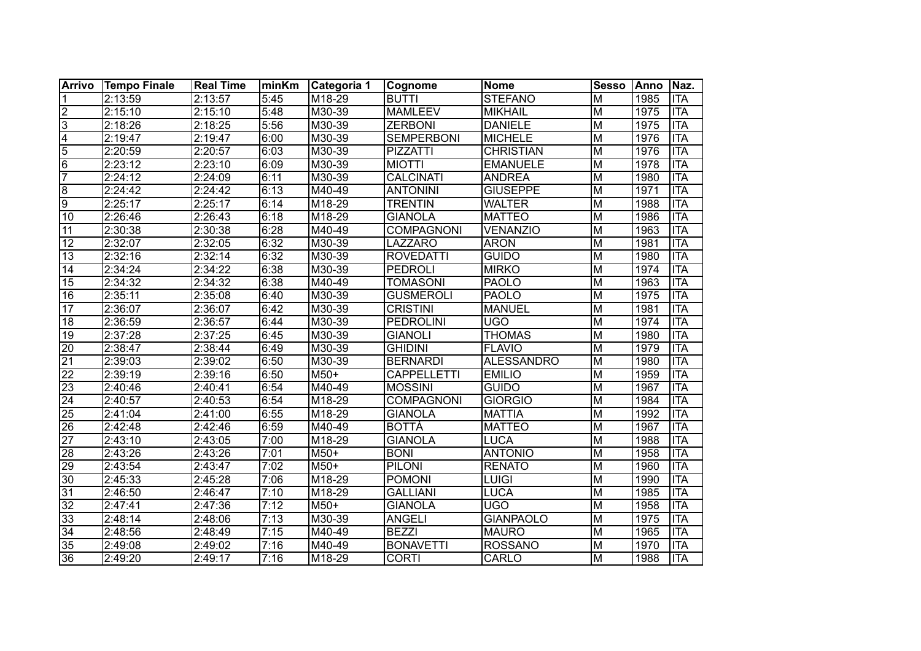| Arrivo          | <b>Tempo Finale</b>  | <b>Real Time</b> | <b>minKm</b> | Categoria 1        | <b>Cognome</b>     | Nome              | <b>Sesso</b>            | <b>Anno</b> | Naz.       |
|-----------------|----------------------|------------------|--------------|--------------------|--------------------|-------------------|-------------------------|-------------|------------|
| $\mathbf 1$     | 2:13:59              | 2:13:57          | 5:45         | M18-29             | <b>BUTTI</b>       | <b>STEFANO</b>    | $\overline{M}$          | 1985        | <b>ITA</b> |
| $\overline{2}$  | 2:15:10              | 2:15:10          | 5:48         | M30-39             | <b>MAMLEEV</b>     | <b>MIKHAIL</b>    | $\overline{M}$          | 1975        | <b>ITA</b> |
| $\overline{3}$  | 2:18:26              | 2:18:25          | 5:56         | M30-39             | <b>ZERBONI</b>     | <b>DANIELE</b>    | $\overline{M}$          | 1975        | <b>ITA</b> |
| $\overline{4}$  | 2:19:47              | 2:19:47          | 6:00         | M30-39             | <b>SEMPERBONI</b>  | <b>MICHELE</b>    | $\overline{M}$          | 1976        | <b>ITA</b> |
| $\overline{5}$  | 2:20:59              | 2:20:57          | 6:03         | M30-39             | <b>PIZZATTI</b>    | <b>CHRISTIAN</b>  | $\overline{M}$          | 1976        | <b>ITA</b> |
| $\overline{6}$  | 2:23:12              | 2:23:10          | 6:09         | M30-39             | <b>MIOTTI</b>      | <b>EMANUELE</b>   | $\overline{\mathsf{M}}$ | 1978        | <b>ITA</b> |
| $\overline{7}$  | 2:24:12              | 2:24:09          | 6:11         | M30-39             | <b>CALCINATI</b>   | <b>ANDREA</b>     | $\overline{M}$          | 1980        | <b>ITA</b> |
| $\overline{8}$  | 2:24:42              | 2:24:42          | 6:13         | M40-49             | <b>ANTONINI</b>    | <b>GIUSEPPE</b>   | $\overline{M}$          | 1971        | <b>ITA</b> |
| $\overline{9}$  | 2:25:17              | 2:25:17          | 6:14         | M18-29             | <b>TRENTIN</b>     | <b>WALTER</b>     | $\overline{M}$          | 1988        | <b>ITA</b> |
| $\overline{10}$ | 2:26:46              | 2:26:43          | 6:18         | M18-29             | <b>GIANOLA</b>     | <b>MATTEO</b>     | $\overline{M}$          | 1986        | <b>ITA</b> |
| $\overline{11}$ | 2:30:38              | 2:30:38          | 6:28         | M40-49             | <b>COMPAGNONI</b>  | <b>VENANZIO</b>   | $\overline{\mathsf{M}}$ | 1963        | <b>ITA</b> |
| $\overline{12}$ | 2:32:07              | 2:32:05          | 6:32         | M30-39             | LAZZARO            | <b>ARON</b>       | M                       | 1981        | <b>ITA</b> |
| $\overline{13}$ | 2:32:16              | 2:32:14          | 6:32         | M30-39             | <b>ROVEDATTI</b>   | <b>GUIDO</b>      | $\overline{\mathsf{M}}$ | 1980        | <b>ITA</b> |
| 14              | 2:34:24              | 2:34:22          | 6:38         | M30-39             | <b>PEDROLI</b>     | <b>MIRKO</b>      | $\overline{\mathsf{M}}$ | 1974        | <b>ITA</b> |
| $\overline{15}$ | 2:34:32              | 2:34:32          | 6:38         | M40-49             | <b>TOMASONI</b>    | <b>PAOLO</b>      | M                       | 1963        | <b>ITA</b> |
| $\overline{16}$ | 2:35:11              | 2:35:08          | 6:40         | M30-39             | <b>GUSMEROLI</b>   | <b>PAOLO</b>      | M                       | 1975        | <b>ITA</b> |
| $\overline{17}$ | $\overline{2}:36:07$ | 2:36:07          | 6:42         | M30-39             | <b>CRISTINI</b>    | <b>MANUEL</b>     | M                       | 1981        | <b>ITA</b> |
| 18              | 2:36:59              | 2:36:57          | 6:44         | M30-39             | <b>PEDROLINI</b>   | <b>UGO</b>        | M                       | 1974        | <b>ITA</b> |
| $\overline{19}$ | 2:37:28              | 2:37:25          | 6:45         | M30-39             | <b>GIANOLI</b>     | <b>THOMAS</b>     | $\overline{\mathsf{M}}$ | 1980        | <b>ITA</b> |
| $\overline{20}$ | 2:38:47              | 2:38:44          | 6:49         | M30-39             | <b>GHIDINI</b>     | <b>FLAVIO</b>     | $\overline{M}$          | 1979        | <b>ITA</b> |
| $\overline{21}$ | 2:39:03              | 2:39:02          | 6:50         | M30-39             | <b>BERNARDI</b>    | <b>ALESSANDRO</b> | M                       | 1980        | <b>ITA</b> |
| $\overline{22}$ | 2:39:19              | 2:39:16          | 6:50         | $M50+$             | <b>CAPPELLETTI</b> | <b>EMILIO</b>     | M                       | 1959        | <b>ITA</b> |
| $\overline{23}$ | 2:40:46              | 2:40:41          | 6:54         | M40-49             | <b>MOSSINI</b>     | <b>GUIDO</b>      | M                       | 1967        | <b>ITA</b> |
| 24              | 2:40:57              | 2:40:53          | 6:54         | M18-29             | <b>COMPAGNONI</b>  | <b>GIORGIO</b>    | M                       | 1984        | <b>ITA</b> |
| 25              | 2:41:04              | 2:41:00          | 6:55         | M18-29             | <b>GIANOLA</b>     | <b>MATTIA</b>     | $\overline{M}$          | 1992        | <b>ITA</b> |
| $\overline{26}$ | 2:42:48              | 2:42:46          | 6:59         | M40-49             | <b>BOTTÀ</b>       | <b>MATTEO</b>     | $\overline{M}$          | 1967        | <b>ITA</b> |
| $\overline{27}$ | 2:43:10              | 2:43:05          | 7:00         | M <sub>18-29</sub> | <b>GIANOLA</b>     | LUCA              | M                       | 1988        | <b>ITA</b> |
| 28              | 2:43:26              | 2:43:26          | 7:01         | M50+               | <b>BONI</b>        | <b>ANTONIO</b>    | $\overline{M}$          | 1958        | <b>ITA</b> |
| 29              | 2:43:54              | 2:43:47          | 7:02         | M50+               | <b>PILONI</b>      | <b>RENATO</b>     | $\overline{M}$          | 1960        | <b>ITA</b> |
| 30              | 2:45:33              | 2:45:28          | 7:06         | M18-29             | <b>POMONI</b>      | <b>LUIGI</b>      | M                       | 1990        | <b>ITA</b> |
| $\overline{31}$ | 2:46:50              | 2:46:47          | 7:10         | M18-29             | <b>GALLIANI</b>    | <b>LUCA</b>       | $\overline{\mathsf{M}}$ | 1985        | <b>ITA</b> |
| $\overline{32}$ | 2:47:41              | 2:47:36          | 7:12         | M50+               | <b>GIANOLA</b>     | UGO               | $\overline{M}$          | 1958        | <b>ITA</b> |
| $\overline{33}$ | 2:48:14              | 2:48:06          | 7:13         | M30-39             | <b>ANGELI</b>      | <b>GIANPAOLO</b>  | M                       | 1975        | <b>ITA</b> |
| $\overline{34}$ | 2:48:56              | 2:48:49          | 7:15         | M40-49             | <b>BEZZI</b>       | <b>MAURO</b>      | $\overline{M}$          | 1965        | <b>ITA</b> |
| 35              | 2:49:08              | 2:49:02          | 7:16         | M40-49             | <b>BONAVETTI</b>   | <b>ROSSANO</b>    | M                       | 1970        | <b>ITA</b> |
| $\overline{36}$ | 2:49:20              | 2:49:17          | 7:16         | M18-29             | <b>CORTI</b>       | CARLO             | M                       | 1988        | <b>ITA</b> |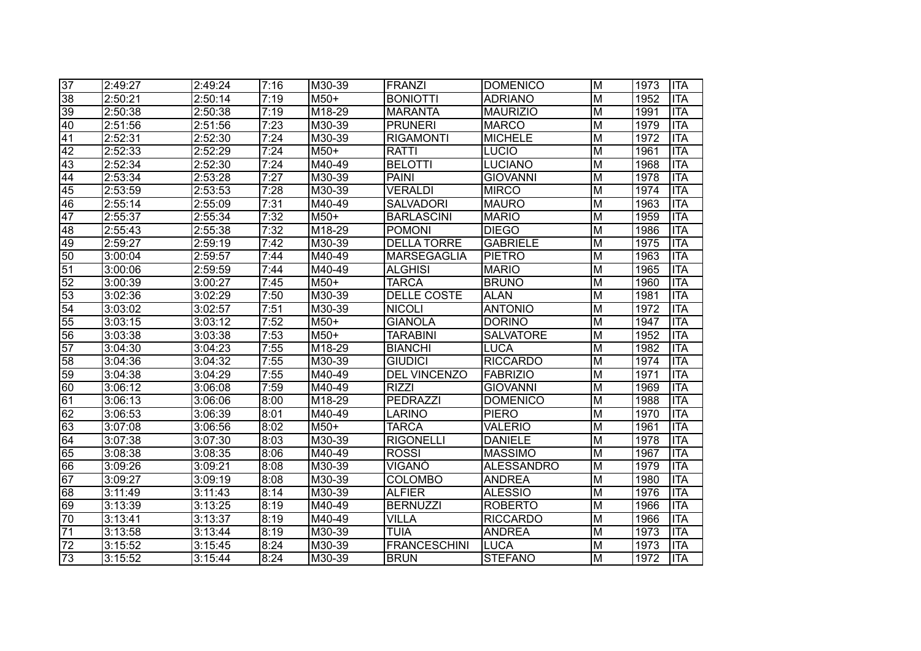| $\overline{37}$ | 2:49:27 | 2:49:24 | 7:16 | M30-39                      | FRANZI              | <b>DOMENICO</b>   | $\overline{M}$          | 1973 | <b>ITA</b> |
|-----------------|---------|---------|------|-----------------------------|---------------------|-------------------|-------------------------|------|------------|
| $\overline{38}$ | 2:50:21 | 2:50:14 | 7:19 | $M50+$                      | <b>BONIOTTI</b>     | <b>ADRIANO</b>    | $\overline{\mathsf{M}}$ | 1952 | <b>ITA</b> |
| $\overline{39}$ | 2:50:38 | 2:50:38 | 7:19 | M18-29                      | <b>MARANTA</b>      | <b>MAURIZIO</b>   | $\overline{\mathsf{M}}$ | 1991 | <b>ITA</b> |
| 40              | 2:51:56 | 2:51:56 | 7:23 | M30-39                      | <b>PRUNERI</b>      | <b>MARCO</b>      | M                       | 1979 | <b>ITA</b> |
| $\overline{41}$ | 2:52:31 | 2:52:30 | 7:24 | M30-39                      | <b>RIGAMONTI</b>    | <b>MICHELE</b>    | $\overline{\mathsf{M}}$ | 1972 | <b>ITA</b> |
| $\overline{42}$ | 2:52:33 | 2:52:29 | 7:24 | $M50+$                      | <b>RATTI</b>        | <b>LUCIO</b>      | $\overline{\mathsf{M}}$ | 1961 | <b>ITA</b> |
| 43              | 2:52:34 | 2:52:30 | 7:24 | M40-49                      | <b>BELOTTI</b>      | <b>LUCIANO</b>    | $\overline{\mathsf{M}}$ | 1968 | <b>ITA</b> |
| $\overline{44}$ | 2:53:34 | 2:53:28 | 7:27 | M30-39                      | <b>PAINI</b>        | <b>GIOVANNI</b>   | $\overline{\mathsf{M}}$ | 1978 | <b>ITA</b> |
| $\overline{45}$ | 2:53:59 | 2:53:53 | 7:28 | M30-39                      | <b>VERALDI</b>      | <b>MIRCO</b>      | $\overline{\mathsf{M}}$ | 1974 | <b>ITA</b> |
| $\overline{46}$ | 2:55:14 | 2:55:09 | 7:31 | M40-49                      | <b>SALVADORI</b>    | <b>MAURO</b>      | $\overline{\mathsf{M}}$ | 1963 | <b>ITA</b> |
| $\overline{47}$ | 2:55:37 | 2:55:34 | 7:32 | $M50+$                      | <b>BARLASCINI</b>   | <b>MARIO</b>      | $\overline{M}$          | 1959 | <b>ITA</b> |
| 48              | 2:55:43 | 2:55:38 | 7:32 | M18-29                      | <b>POMONI</b>       | <b>DIEGO</b>      | $\overline{M}$          | 1986 | <b>ITA</b> |
| 49              | 2:59:27 | 2:59:19 | 7:42 | $\overline{\text{M}}$ 30-39 | <b>DELLA TORRE</b>  | <b>GABRIELE</b>   | $\overline{M}$          | 1975 | <b>ITA</b> |
| $\overline{50}$ | 3:00:04 | 2:59:57 | 7:44 | M40-49                      | <b>MARSEGAGLIA</b>  | <b>PIETRO</b>     | M                       | 1963 | <b>ITA</b> |
| $\overline{51}$ | 3:00:06 | 2:59:59 | 7:44 | M40-49                      | <b>ALGHISI</b>      | <b>MARIO</b>      | $\overline{\mathsf{M}}$ | 1965 | <b>ITA</b> |
| 52              | 3:00:39 | 3:00:27 | 7:45 | $M50+$                      | <b>TARCA</b>        | <b>BRUNO</b>      | $\overline{\mathsf{M}}$ | 1960 | <b>ITA</b> |
| $\overline{53}$ | 3:02:36 | 3:02:29 | 7:50 | M30-39                      | DELLE COSTE         | <b>ALAN</b>       | $\overline{\mathsf{M}}$ | 1981 | <b>ITA</b> |
| $\overline{54}$ | 3:03:02 | 3:02:57 | 7:51 | M30-39                      | <b>NICOLI</b>       | <b>ANTONIO</b>    | $\overline{\mathsf{M}}$ | 1972 | <b>ITA</b> |
| 55              | 3:03:15 | 3:03:12 | 7:52 | $M50+$                      | <b>GIANOLA</b>      | <b>DORINO</b>     | M                       | 1947 | <b>ITA</b> |
| 56              | 3:03:38 | 3:03:38 | 7:53 | $M50+$                      | <b>TARABINI</b>     | <b>SALVATORE</b>  | M                       | 1952 | <b>ITA</b> |
| $\overline{57}$ | 3:04:30 | 3:04:23 | 7:55 | M18-29                      | <b>BIANCHI</b>      | LUCA              | M                       | 1982 | <b>ITA</b> |
| 58              | 3:04:36 | 3:04:32 | 7:55 | M30-39                      | <b>GIUDICI</b>      | <b>RICCARDO</b>   | $\overline{\mathsf{M}}$ | 1974 | <b>ITA</b> |
| 59              | 3:04:38 | 3:04:29 | 7:55 | M40-49                      | <b>DEL VINCENZO</b> | <b>FABRIZIO</b>   | $\overline{\mathsf{M}}$ | 1971 | <b>ITA</b> |
| 60              | 3:06:12 | 3:06:08 | 7:59 | M40-49                      | <b>RIZZI</b>        | <b>GIOVANNI</b>   | $\overline{M}$          | 1969 | <b>ITA</b> |
| $\overline{61}$ | 3:06:13 | 3:06:06 | 8:00 | M18-29                      | PEDRAZZI            | <b>DOMENICO</b>   | $\overline{M}$          | 1988 | <b>ITA</b> |
| 62              | 3:06:53 | 3:06:39 | 8:01 | M40-49                      | LARINO              | <b>PIERO</b>      | $\overline{M}$          | 1970 | <b>ITA</b> |
| 63              | 3:07:08 | 3:06:56 | 8:02 | M50+                        | <b>TARCA</b>        | <b>VALERIO</b>    | M                       | 1961 | <b>ITA</b> |
| 64              | 3:07:38 | 3:07:30 | 8:03 | M30-39                      | <b>RIGONELLI</b>    | <b>DANIELE</b>    | $\overline{\mathsf{M}}$ | 1978 | <b>ITA</b> |
| 65              | 3:08:38 | 3:08:35 | 8:06 | M40-49                      | <b>ROSSI</b>        | <b>MASSIMO</b>    | $\overline{\mathsf{M}}$ | 1967 | <b>ITA</b> |
| 66              | 3:09:26 | 3:09:21 | 8:08 | M30-39                      | VIGANÒ              | <b>ALESSANDRO</b> | M                       | 1979 | <b>ITA</b> |
| $\overline{67}$ | 3:09:27 | 3:09:19 | 8:08 | M30-39                      | <b>COLOMBO</b>      | <b>ANDREA</b>     | M                       | 1980 | <b>ITA</b> |
| 68              | 3:11:49 | 3:11:43 | 8:14 | M30-39                      | <b>ALFIER</b>       | <b>ALESSIO</b>    | $\overline{\mathsf{M}}$ | 1976 | <b>ITA</b> |
| 69              | 3:13:39 | 3:13:25 | 8:19 | M40-49                      | <b>BERNUZZI</b>     | <b>ROBERTO</b>    | $\overline{\mathsf{M}}$ | 1966 | <b>ITA</b> |
| 70              | 3:13:41 | 3:13:37 | 8:19 | M40-49                      | <b>VILLA</b>        | <b>RICCARDO</b>   | M                       | 1966 | <b>ITA</b> |
| $\overline{71}$ | 3:13:58 | 3:13:44 | 8:19 | M30-39                      | <b>TUIA</b>         | <b>ANDREA</b>     | $\overline{\mathsf{M}}$ | 1973 | <b>ITA</b> |
| 72              | 3:15:52 | 3:15:45 | 8:24 | M30-39                      | <b>FRANCESCHINI</b> | <b>LUCA</b>       | M                       | 1973 | <b>ITA</b> |
| 73              | 3:15:52 | 3:15:44 | 8:24 | M30-39                      | <b>BRUN</b>         | <b>STEFANO</b>    | M                       | 1972 | <b>ITA</b> |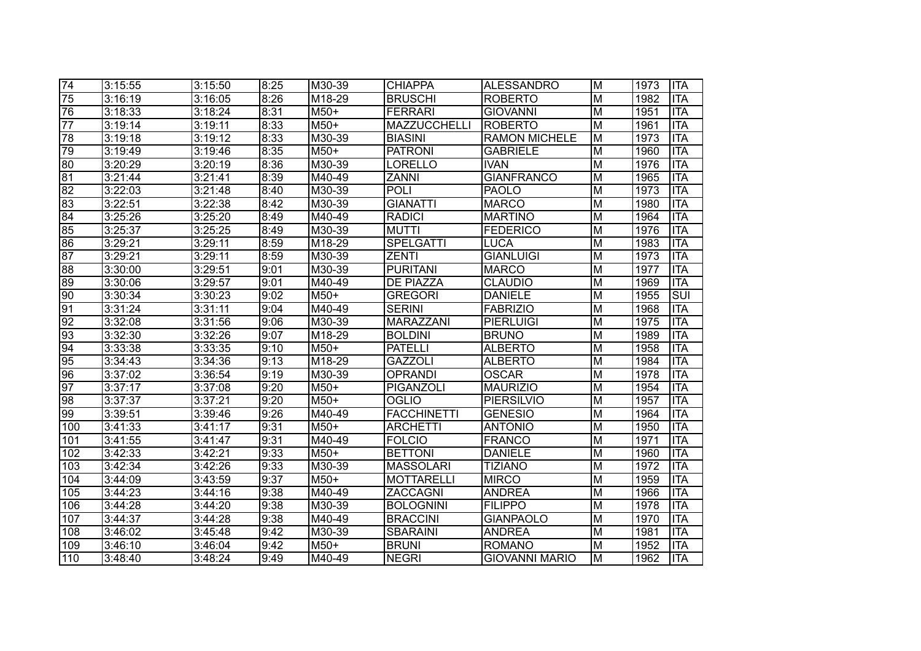| $\overline{74}$ | 3:15:55 | 3:15:50 | 8:25 | M30-39                      | <b>CHIAPPA</b>      | <b>ALESSANDRO</b>     | M                       | 1973 | <b>ITA</b> |
|-----------------|---------|---------|------|-----------------------------|---------------------|-----------------------|-------------------------|------|------------|
| $\overline{75}$ | 3:16:19 | 3:16:05 | 8:26 | M18-29                      | <b>BRUSCHI</b>      | <b>ROBERTO</b>        | $\overline{M}$          | 1982 | <b>ITA</b> |
| 76              | 3:18:33 | 3:18:24 | 8:31 | $M50+$                      | <b>FERRARI</b>      | <b>GIOVANNI</b>       | $\overline{M}$          | 1951 | <b>ITA</b> |
| $\overline{77}$ | 3:19:14 | 3:19:11 | 8:33 | $M50+$                      | <b>MAZZUCCHELLI</b> | <b>ROBERTO</b>        | $\overline{M}$          | 1961 | <b>ITA</b> |
| 78              | 3:19:18 | 3:19:12 | 8:33 | $\overline{\text{M30-39}}$  | <b>BIASINI</b>      | <b>RAMON MICHELE</b>  | $\overline{M}$          | 1973 | <b>ITA</b> |
| 79              | 3:19:49 | 3:19:46 | 8:35 | $M50+$                      | <b>PATRONI</b>      | <b>GABRIELE</b>       | $\overline{M}$          | 1960 | <b>ITA</b> |
| 80              | 3:20:29 | 3:20:19 | 8:36 | M30-39                      | LORELLO             | <b>IVAN</b>           | $\overline{M}$          | 1976 | <b>ITA</b> |
| $\overline{81}$ | 3:21:44 | 3:21:41 | 8:39 | M40-49                      | <b>ZANNI</b>        | <b>GIANFRANCO</b>     | $\overline{\mathsf{M}}$ | 1965 | <b>ITA</b> |
| $\overline{82}$ | 3:22:03 | 3:21:48 | 8:40 | M30-39                      | <b>POLI</b>         | <b>PAOLO</b>          | $\overline{M}$          | 1973 | <b>ITA</b> |
| 83              | 3:22:51 | 3:22:38 | 8:42 | M30-39                      | <b>GIANATTI</b>     | <b>MARCO</b>          | M                       | 1980 | <b>ITA</b> |
| $\overline{84}$ | 3:25:26 | 3:25:20 | 8:49 | M40-49                      | <b>RADICI</b>       | <b>MARTINO</b>        | $\overline{M}$          | 1964 | <b>ITA</b> |
| 85              | 3:25:37 | 3:25:25 | 8:49 | $\overline{\text{M}}$ 30-39 | <b>MUTTI</b>        | <b>FEDERICO</b>       | $\overline{M}$          | 1976 | <b>ITA</b> |
| 86              | 3:29:21 | 3:29:11 | 8:59 | M <sub>18-29</sub>          | <b>SPELGATTI</b>    | <b>LUCA</b>           | M                       | 1983 | <b>ITA</b> |
| 87              | 3:29:21 | 3:29:11 | 8:59 | M30-39                      | <b>ZENTI</b>        | <b>GIANLUIGI</b>      | M                       | 1973 | <b>ITA</b> |
| 88              | 3:30:00 | 3:29:51 | 9:01 | M30-39                      | <b>PURITANI</b>     | <b>MARCO</b>          | M                       | 1977 | <b>ITA</b> |
| 89              | 3:30:06 | 3:29:57 | 9:01 | M40-49                      | DE PIAZZA           | <b>CLAUDIO</b>        | M                       | 1969 | <b>ITA</b> |
| $\overline{90}$ | 3:30:34 | 3:30:23 | 9:02 | $M50+$                      | <b>GREGORI</b>      | <b>DANIELE</b>        | M                       | 1955 | SUI        |
| $\overline{91}$ | 3:31:24 | 3:31:11 | 9:04 | M40-49                      | <b>SERINI</b>       | <b>FABRIZIO</b>       | M                       | 1968 | <b>ITA</b> |
| $\overline{92}$ | 3:32:08 | 3:31:56 | 9:06 | M30-39                      | MARAZZANI           | <b>PIERLUIGI</b>      | M                       | 1975 | <b>ITA</b> |
| 93              | 3:32:30 | 3:32:26 | 9:07 | M18-29                      | <b>BOLDINI</b>      | <b>BRUNO</b>          | M                       | 1989 | <b>ITA</b> |
| $\overline{94}$ | 3:33:38 | 3:33:35 | 9:10 | M50+                        | <b>PATELLI</b>      | <b>ALBERTO</b>        | M                       | 1958 | <b>ITA</b> |
| 95              | 3:34:43 | 3:34:36 | 9:13 | M18-29                      | <b>GAZZOLI</b>      | <b>ALBERTO</b>        | M                       | 1984 | <b>ITA</b> |
| $\overline{96}$ | 3:37:02 | 3:36:54 | 9:19 | M30-39                      | <b>OPRANDI</b>      | <b>OSCAR</b>          | M                       | 1978 | <b>ITA</b> |
| $\overline{97}$ | 3:37:17 | 3:37:08 | 9:20 | M50+                        | PIGANZOLI           | <b>MAURIZIO</b>       | M                       | 1954 | <b>ITA</b> |
| 98              | 3:37:37 | 3:37:21 | 9:20 | M50+                        | <b>OGLIO</b>        | <b>PIERSILVIO</b>     | M                       | 1957 | <b>ITA</b> |
| $\overline{99}$ | 3:39:51 | 3:39:46 | 9:26 | M40-49                      | <b>FACCHINETTI</b>  | <b>GENESIO</b>        | M                       | 1964 | <b>ITA</b> |
| 100             | 3:41:33 | 3:41:17 | 9:31 | M50+                        | <b>ARCHETTI</b>     | <b>ANTONIO</b>        | M                       | 1950 | <b>ITA</b> |
| 101             | 3:41:55 | 3:41:47 | 9:31 | M40-49                      | <b>FOLCIO</b>       | <b>FRANCO</b>         | $\overline{M}$          | 1971 | <b>ITA</b> |
| 102             | 3:42:33 | 3:42:21 | 9:33 | M50+                        | <b>BETTONI</b>      | <b>DANIELE</b>        | $\overline{M}$          | 1960 | <b>ITA</b> |
| 103             | 3:42:34 | 3:42:26 | 9:33 | M30-39                      | <b>MASSOLARI</b>    | <b>TIZIANO</b>        | M                       | 1972 | <b>ITA</b> |
| 104             | 3:44:09 | 3:43:59 | 9:37 | $M50+$                      | <b>MOTTARELLI</b>   | <b>MIRCO</b>          | M                       | 1959 | <b>ITA</b> |
| 105             | 3:44:23 | 3:44:16 | 9:38 | M40-49                      | ZACCAGNI            | <b>ANDREA</b>         | $\overline{M}$          | 1966 | <b>ITA</b> |
| 106             | 3:44:28 | 3:44:20 | 9:38 | M30-39                      | <b>BOLOGNINI</b>    | <b>FILIPPO</b>        | M                       | 1978 | <b>ITA</b> |
| 107             | 3:44:37 | 3:44:28 | 9:38 | M40-49                      | <b>BRACCINI</b>     | <b>GIANPAOLO</b>      | M                       | 1970 | <b>ITA</b> |
| 108             | 3:46:02 | 3:45:48 | 9:42 | M30-39                      | <b>SBARAINI</b>     | <b>ANDREA</b>         | M                       | 1981 | <b>ITA</b> |
| 109             | 3:46:10 | 3:46:04 | 9:42 | M50+                        | <b>BRUNI</b>        | <b>ROMANO</b>         | M                       | 1952 | <b>ITA</b> |
| 110             | 3:48:40 | 3:48:24 | 9:49 | M40-49                      | <b>NEGRI</b>        | <b>GIOVANNI MARIO</b> | M                       | 1962 | <b>ITA</b> |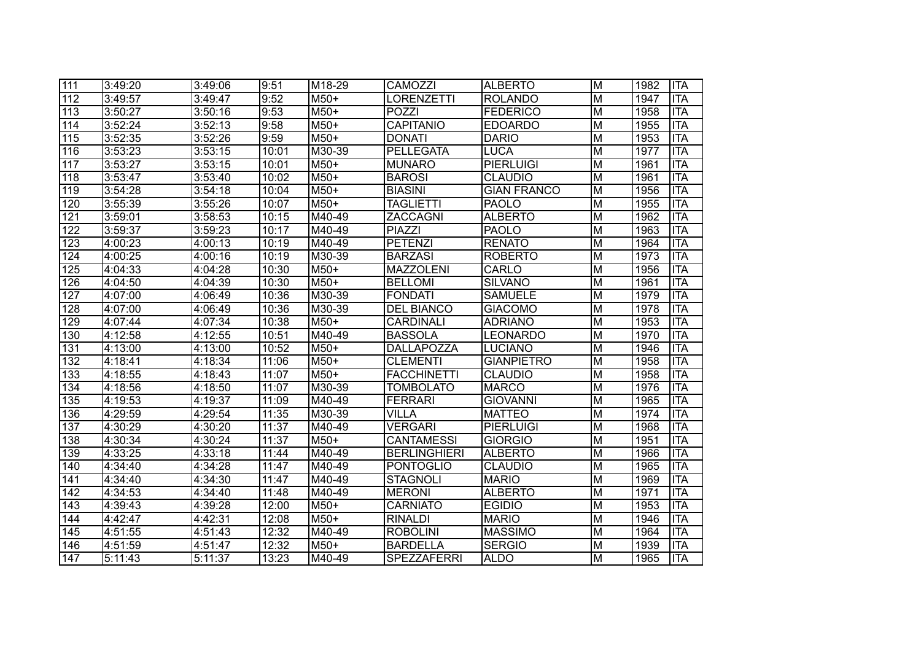| 111              | 3:49:20 | 3:49:06              | 9:51  | M <sub>18-29</sub>         | <b>CAMOZZI</b>      | <b>ALBERTO</b>     | lм                      | 1982 | <b>ITA</b> |
|------------------|---------|----------------------|-------|----------------------------|---------------------|--------------------|-------------------------|------|------------|
| $\overline{112}$ | 3:49:57 | 3:49:47              | 9:52  | $M50+$                     | <b>LORENZETTI</b>   | <b>ROLANDO</b>     | $\overline{\mathsf{M}}$ | 1947 | <b>ITA</b> |
| $\overline{113}$ | 3:50:27 | 3:50:16              | 9:53  | $M50+$                     | <b>POZZI</b>        | <b>FEDERICO</b>    | $\overline{\mathsf{M}}$ | 1958 | <b>ITA</b> |
| 114              | 3:52:24 | 3:52:13              | 9:58  | $M50+$                     | <b>CAPITANIO</b>    | <b>EDOARDO</b>     | $\overline{\mathsf{M}}$ | 1955 | <b>ITA</b> |
| $\overline{115}$ | 3:52:35 | 3:52:26              | 9:59  | $M50+$                     | <b>DONATI</b>       | <b>DARIO</b>       | $\overline{\mathsf{M}}$ | 1953 | <b>ITA</b> |
| $\overline{116}$ | 3:53:23 | 3:53:15              | 10:01 | $\overline{\text{M30-39}}$ | <b>PELLEGATA</b>    | <b>LUCA</b>        | $\overline{\mathsf{M}}$ | 1977 | <b>ITA</b> |
| 117              | 3:53:27 | 3:53:15              | 10:01 | $M50+$                     | <b>MUNARO</b>       | <b>PIERLUIGI</b>   | $\overline{\mathsf{M}}$ | 1961 | <b>ITA</b> |
| $\overline{118}$ | 3:53:47 | 3:53:40              | 10:02 | $M50+$                     | <b>BAROSI</b>       | <b>CLAUDIO</b>     | $\overline{\mathsf{M}}$ | 1961 | <b>ITA</b> |
| $\overline{119}$ | 3:54:28 | 3:54:18              | 10:04 | $M50+$                     | <b>BIASINI</b>      | <b>GIAN FRANCO</b> | $\overline{M}$          | 1956 | <b>ITA</b> |
| 120              | 3:55:39 | 3:55:26              | 10:07 | $M50+$                     | <b>TAGLIETTI</b>    | <b>PAOLO</b>       | M                       | 1955 | <b>ITA</b> |
| 121              | 3:59:01 | 3:58:53              | 10:15 | M40-49                     | <b>ZACCAGNI</b>     | <b>ALBERTO</b>     | $\overline{M}$          | 1962 | <b>ITA</b> |
| 122              | 3:59:37 | 3:59:23              | 10:17 | M40-49                     | <b>PIAZZI</b>       | <b>PAOLO</b>       | M                       | 1963 | <b>ITA</b> |
| 123              | 4:00:23 | 4:00:13              | 10:19 | M40-49                     | <b>PETENZI</b>      | <b>RENATO</b>      | M                       | 1964 | <b>ITA</b> |
| 124              | 4:00:25 | 4:00:16              | 10:19 | M30-39                     | <b>BARZASI</b>      | <b>ROBERTO</b>     | M                       | 1973 | <b>ITA</b> |
| 125              | 4:04:33 | 4:04:28              | 10:30 | M50+                       | <b>MAZZOLENI</b>    | CARLO              | M                       | 1956 | <b>ITA</b> |
| 126              | 4:04:50 | 4:04:39              | 10:30 | M50+                       | <b>BELLOMI</b>      | <b>SILVANO</b>     | M                       | 1961 | <b>ITA</b> |
| 127              | 4:07:00 | 4:06:49              | 10:36 | M30-39                     | <b>FONDATI</b>      | <b>SAMUELE</b>     | M                       | 1979 | <b>ITA</b> |
| 128              | 4:07:00 | 4:06:49              | 10:36 | M30-39                     | <b>DEL BIANCO</b>   | <b>GIACOMO</b>     | M                       | 1978 | <b>ITA</b> |
| 129              | 4:07:44 | 4:07:34              | 10:38 | M50+                       | <b>CARDINALI</b>    | <b>ADRIANO</b>     | $\overline{M}$          | 1953 | <b>ITA</b> |
| 130              | 4:12:58 | 4:12:55              | 10:51 | M40-49                     | <b>BASSOLA</b>      | <b>LEONARDO</b>    | $\overline{M}$          | 1970 | <b>ITA</b> |
| 131              | 4:13:00 | 4:13:00              | 10:52 | M50+                       | DALLAPOZZA          | <b>LUCIANO</b>     | M                       | 1946 | <b>ITA</b> |
| 132              | 4:18:41 | 4:18:34              | 11:06 | M50+                       | <b>CLEMENTI</b>     | <b>GIANPIETRO</b>  | M                       | 1958 | <b>ITA</b> |
| 133              | 4:18:55 | 4:18:43              | 11:07 | M50+                       | <b>FACCHINETTI</b>  | <b>CLAUDIO</b>     | M                       | 1958 | <b>ITA</b> |
| 134              | 4:18:56 | 4:18:50              | 11:07 | M30-39                     | <b>TOMBOLATO</b>    | <b>MARCO</b>       | M                       | 1976 | <b>ITA</b> |
| 135              | 4:19:53 | 4:19:37              | 11:09 | M40-49                     | FERRARI             | <b>GIOVANNI</b>    | $\overline{M}$          | 1965 | <b>ITA</b> |
| 136              | 4:29:59 | 4:29:54              | 11:35 | M30-39                     | <b>VILLA</b>        | <b>MATTEO</b>      | M                       | 1974 | <b>ITA</b> |
| 137              | 4:30:29 | 4:30:20              | 11:37 | M40-49                     | <b>VERGARI</b>      | <b>PIERLUIGI</b>   | M                       | 1968 | <b>ITA</b> |
| 138              | 4:30:34 | 4:30:24              | 11:37 | M50+                       | <b>CANTAMESSI</b>   | <b>GIORGIO</b>     | $\overline{\mathsf{M}}$ | 1951 | <b>ITA</b> |
| 139              | 4:33:25 | 4:33:18              | 11:44 | M40-49                     | <b>BERLINGHIERI</b> | <b>ALBERTO</b>     | $\overline{\mathsf{M}}$ | 1966 | <b>ITA</b> |
| 140              | 4:34:40 | 4:34:28              | 11:47 | M40-49                     | <b>PONTOGLIO</b>    | <b>CLAUDIO</b>     | M                       | 1965 | <b>ITA</b> |
| 141              | 4:34:40 | 4:34:30              | 11:47 | M40-49                     | <b>STAGNOLI</b>     | <b>MARIO</b>       | M                       | 1969 | <b>ITA</b> |
| $\overline{142}$ | 4:34:53 | 4:34:40              | 11:48 | M40-49                     | <b>MERONI</b>       | <b>ALBERTO</b>     | $\overline{M}$          | 1971 | <b>ITA</b> |
| 143              | 4:39:43 | 4:39:28              | 12:00 | M50+                       | <b>CARNIATO</b>     | <b>EGIDIO</b>      | M                       | 1953 | <b>ITA</b> |
| 144              | 4:42:47 | 4:42:31              | 12:08 | M50+                       | <b>RINALDI</b>      | <b>MARIO</b>       | $\overline{\mathsf{M}}$ | 1946 | <b>ITA</b> |
| 145              | 4:51:55 | 4:51:43              | 12:32 | M40-49                     | <b>ROBOLINI</b>     | <b>MASSIMO</b>     | $\overline{\mathsf{M}}$ | 1964 | <b>ITA</b> |
| 146              | 4:51:59 | 4:51:47              | 12:32 | M50+                       | <b>BARDELLA</b>     | <b>SERGIO</b>      | M                       | 1939 | <b>ITA</b> |
| 147              | 5:11:43 | $\overline{5:}11:37$ | 13:23 | M40-49                     | <b>SPEZZAFERRI</b>  | <b>ALDO</b>        | M                       | 1965 | <b>ITA</b> |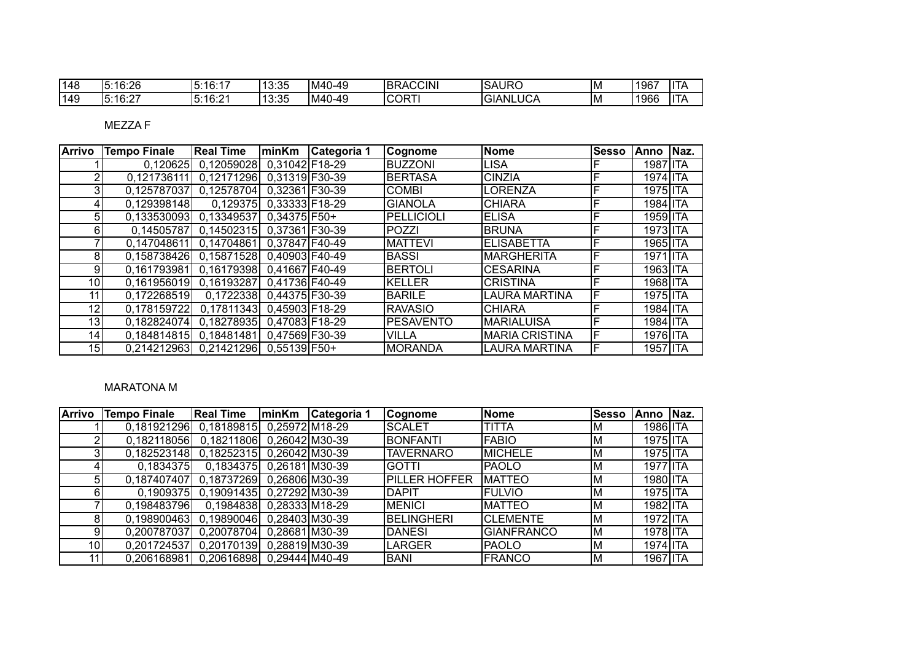| 148 | 5:16:26    | 5:16:17 | 13:35 | $\sim$<br>)-49<br>IM4 | <b>BRACCINI</b> | <b>SAURO</b>    | IM | <b>1967</b> | lita |
|-----|------------|---------|-------|-----------------------|-----------------|-----------------|----|-------------|------|
| 149 | $-5:16:27$ | 5:16:21 | 13:35 | $IM4^{\circ}$<br>)-49 | <b>CORTI</b>    | <b>GIANLUCA</b> | IM | 1966        | ITA  |

MEZZA F

| <b>Arrivo</b>   | <b>Tempo Finale</b>                   | <b>Real Time</b>                      | minKm         | Categoria 1 | <b>Cognome</b>    | Nome                   | <b>Sesso</b> | lAnno    | Naz. |
|-----------------|---------------------------------------|---------------------------------------|---------------|-------------|-------------------|------------------------|--------------|----------|------|
|                 |                                       | 0,120625 0,12059028 0,31042 F18-29    |               |             | <b>BUZZONI</b>    | <b>LISA</b>            |              | 1987 ITA |      |
| $\mathbf{2}$    | $\overline{0.1217}36111$              | 0,12171296 0,31319 F30-39             |               |             | <b>BERTASA</b>    | <b>CINZIA</b>          | F            | 1974 ITA |      |
| $\overline{3}$  | 0,125787037                           | 0,12578704 0,32361 F30-39             |               |             | <b>COMBI</b>      | LORENZA                |              | 1975 ITA |      |
| 4               | 0.129398148                           | 0.129375 0.33333 F18-29               |               |             | <b>GIANOLA</b>    | <b>CHIARA</b>          |              | 1984 ITA |      |
| 5 <sub>l</sub>  |                                       | $0,133530093$ 0,13349537 0,34375 F50+ |               |             | <b>PELLICIOLI</b> | <b>ELISA</b>           | F            | 1959 ITA |      |
| $6 \mid$        |                                       | 0,14505787 0,14502315 0,37361 F30-39  |               |             | <b>POZZI</b>      | <b>BRUNA</b>           | F            | 1973 ITA |      |
|                 |                                       | 0.147048611 0.14704861 0.37847 F40-49 |               |             | <b>MATTEVI</b>    | <b>ELISABETTA</b>      |              | 1965 ITA |      |
| 8 <sup>1</sup>  | 0,158738426 0,15871528 0,40903 F40-49 |                                       |               |             | <b>BASSI</b>      | <b>IMARGHERITA</b>     |              | 1971 ITA |      |
| 9               | 0.161793981 0.16179398 0.41667 F40-49 |                                       |               |             | <b>BERTOLI</b>    | ICESARINA              | F            | 1963 ITA |      |
| 10 <sup>1</sup> | 0,161956019 0,16193287 0,41736 F40-49 |                                       |               |             | <b>KELLER</b>     | <b>CRISTINA</b>        |              | 1968 ITA |      |
| 11              | 0,172268519                           | 0,1722338 0,44375 F30-39              |               |             | <b>BARILE</b>     | LAURA MARTINA          | F            | 1975 ITA |      |
| 12 <sub>1</sub> | 0,178159722 0,17811343 0,45903 F18-29 |                                       |               |             | <b>RAVASIO</b>    | <b>CHIARA</b>          | F            | 1984 ITA |      |
| 13              |                                       | 0,182824074 0,18278935 0,47083 F18-29 |               |             | <b>PESAVENTO</b>  | <b>MARIALUISA</b>      | F            | 1984 ITA |      |
| 14              |                                       | 0,184814815 0,18481481                | 0.47569F30-39 |             | <b>VILLA</b>      | <b>IMARIA CRISTINA</b> | F            | 1976 ITA |      |
| 15              |                                       | 0.214212963 0.21421296 0.55139 F50+   |               |             | <b>MORANDA</b>    | LAURA MARTINA          | ιF           | 1957 ITA |      |

## MARATONA M

| <b>Arrivo</b>   | <b>Tempo Finale</b>    | <b>Real Time</b>           | minKm          | Categoria 1 | Cognome              | Nome              | <b>Sesso</b> | lAnno    | Naz. |
|-----------------|------------------------|----------------------------|----------------|-------------|----------------------|-------------------|--------------|----------|------|
|                 | 0,181921296 0,18189815 |                            | 0,25972M18-29  |             | <b>SCALET</b>        | <b>TITTA</b>      | ΙM           | 1986 ITA |      |
| $\overline{2}$  | 0,182118056            | 0,18211806                 | 0.26042 M30-39 |             | <b>BONFANTI</b>      | <b>FABIO</b>      | ΙM           | 1975 ITA |      |
| 3               | 0,182523148 0,18252315 |                            | 0.26042 M30-39 |             | <b>TAVERNARO</b>     | MICHELE           | M            | 1975 ITA |      |
| 41              | 0,1834375              | 0,1834375 0,26181 M30-39   |                |             | <b>GOTTI</b>         | <b>PAOLO</b>      | lМ           | 1977 ITA |      |
| 5 <sup>1</sup>  | 0,187407407            | 0.18737269                 | 0.26806 M30-39 |             | <b>PILLER HOFFER</b> | <b>MATTEO</b>     | M            | 1980 ITA |      |
| 61              |                        | 0,1909375 0,19091435       | 0.27292 M30-39 |             | <b>DAPIT</b>         | FULVIO            | M            | 1975 ITA |      |
|                 | 0.198483796            | 0,1984838 0,28333 M18-29   |                |             | MENICI               | <b>MATTEO</b>     | ΙM           | 1982 ITA |      |
| 8 <sup>1</sup>  | 0,198900463 0,19890046 |                            | 0,28403 M30-39 |             | <b>BELINGHERI</b>    | <b>CLEMENTE</b>   | ΙM           | 1972 ITA |      |
| 9               | 0,200787037            | 0,20078704                 | 0.28681 M30-39 |             | <b>DANESI</b>        | <b>GIANFRANCO</b> | ΙM           | 1978 ITA |      |
| 10 <sup>1</sup> | 0,201724537            | 0,20170139                 | 0.28819 M30-39 |             | <b>LARGER</b>        | <b>PAOLO</b>      | M            | 1974 ITA |      |
| 11              | 0.206168981            | 0,20616898  0,29444 M40-49 |                |             | <b>BANI</b>          | <b>FRANCO</b>     | ΙM           | 1967 ITA |      |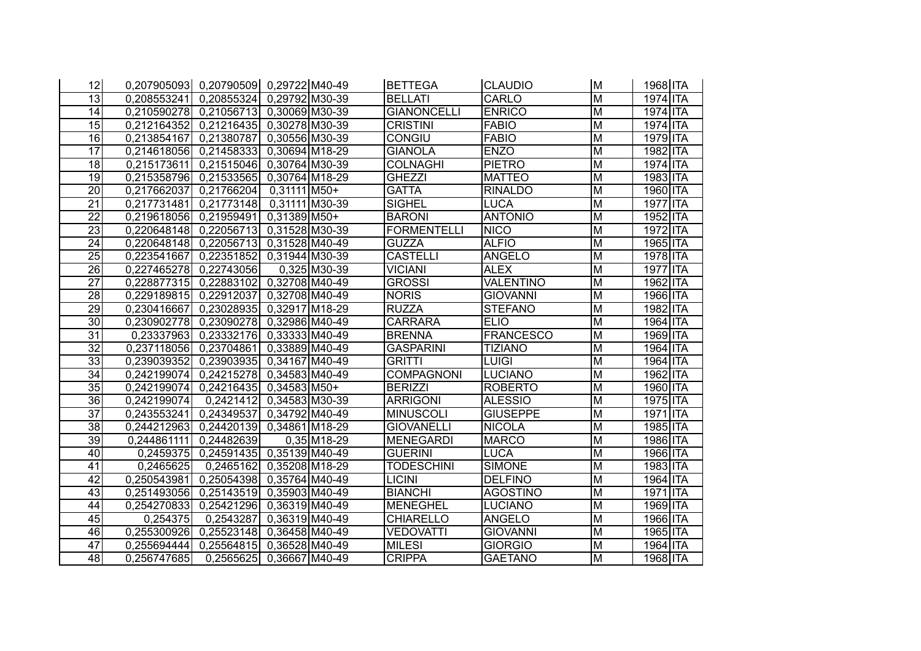| 12              |                          | 0,207905093  0,20790509  0,29722  M40-49 |                |                             | <b>BETTEGA</b>     | <b>CLAUDIO</b>   | M                       | 1968 ITA           |
|-----------------|--------------------------|------------------------------------------|----------------|-----------------------------|--------------------|------------------|-------------------------|--------------------|
| $\overline{13}$ | 0,208553241              | 0,20855324                               | 0.29792 M30-39 |                             | <b>BELLATI</b>     | <b>CARLO</b>     | $\overline{\mathsf{M}}$ | 1974 ITA           |
| $\overline{14}$ | 0,210590278              | 0,21056713                               | 0.30069 M30-39 |                             | <b>GIANONCELLI</b> | <b>ENRICO</b>    | $\overline{M}$          | 1974 ITA           |
| $\overline{15}$ | 0,212164352              | 0,21216435                               | 0.30278 M30-39 |                             | <b>CRISTINI</b>    | <b>FABIO</b>     | $\overline{M}$          | 1974 ITA           |
| $\overline{16}$ | 0,213854167              | 0,21380787                               | 0,30556 M30-39 |                             | <b>CONGIU</b>      | <b>FABIO</b>     | $\overline{M}$          | 1979 ITA           |
| $\overline{17}$ | 0,214618056              | 0,21458333                               | 0,30694 M18-29 |                             | <b>GIANOLA</b>     | <b>ENZO</b>      | M                       | 1982 ITA           |
| $\overline{18}$ | 0,215173611              | 0,21515046                               | 0.30764 M30-39 |                             | <b>COLNAGHI</b>    | <b>PIETRO</b>    | $\overline{\mathsf{M}}$ | 1974 ITA           |
| $\overline{19}$ | 0,215358796              | 0,21533565                               | 0.30764 M18-29 |                             | <b>GHEZZI</b>      | <b>MATTEO</b>    | $\overline{\mathsf{M}}$ | 1983 ITA           |
| $\overline{20}$ | 0,217662037              | 0,21766204                               | $0,31111$ M50+ |                             | <b>GATTA</b>       | <b>RINALDO</b>   | M                       | 1960 ITA           |
| $\overline{21}$ | 0,217731481              | 0,21773148                               |                | $0,31111$ M30-39            | <b>SIGHEL</b>      | LUCA             | M                       | 1977 ITA           |
| $\overline{22}$ | 0,219618056              | 0,21959491                               | 0,31389 M50+   |                             | <b>BARONI</b>      | <b>ANTONIO</b>   | $\overline{\mathsf{M}}$ | 1952 ITA           |
| $\overline{23}$ | 0,220648148              | 0,22056713                               | 0,31528 M30-39 |                             | <b>FORMENTELLI</b> | <b>NICO</b>      | $\overline{\mathsf{M}}$ | 1972 ITA           |
| 24              | 0,220648148 0,22056713   |                                          | 0.31528 M40-49 |                             | <b>GUZZA</b>       | <b>ALFIO</b>     | M                       | 1965 ITA           |
| $\overline{25}$ | 0,223541667              | 0,22351852                               | 0,31944 M30-39 |                             | <b>CASTELLI</b>    | <b>ANGELO</b>    | M                       | 1978 ITA           |
| 26              | 0,227465278              | 0,22743056                               |                | $0,325$ M <sub>30</sub> -39 | <b>VICIANI</b>     | <b>ALEX</b>      | M                       | <b>ITA</b><br>1977 |
| 27              | 0,228877315              | 0,22883102                               | 0.32708 M40-49 |                             | <b>GROSSI</b>      | <b>VALENTINO</b> | M                       | 1962 ITA           |
| 28              | 0,229189815 0,22912037   |                                          | 0,32708 M40-49 |                             | <b>NORIS</b>       | <b>GIOVANNI</b>  | M                       | 1966 ITA           |
| $\overline{29}$ | 0,230416667              | $\overline{0,23028935}$                  | 0.32917 M18-29 |                             | <b>RUZZA</b>       | <b>STEFANO</b>   | $\overline{\mathsf{M}}$ | 1982 ITA           |
| $\overline{30}$ | 0.230902778              | 0,23090278                               | 0.32986 M40-49 |                             | <b>CARRARA</b>     | <b>ELIO</b>      | M                       | 1964 ITA           |
| $\overline{31}$ |                          | 0,23337963 0,23332176                    | 0,33333 M40-49 |                             | <b>BRENNA</b>      | <b>FRANCESCO</b> | M                       | 1969 ITA           |
| $\overline{32}$ | 0,237118056 0,23704861   |                                          | 0,33889 M40-49 |                             | <b>GASPARINI</b>   | <b>TIZIANO</b>   | M                       | 1964 ITA           |
| 33              | 0,239039352              | 0,23903935                               | 0.34167 M40-49 |                             | <b>GRITTI</b>      | LUIGI            | M                       | 1964 ITA           |
| $\overline{34}$ | 0,242199074              | 0,24215278                               | 0.34583M40-49  |                             | <b>COMPAGNONI</b>  | LUCIANO          | M                       | 1962 ITA           |
| $\overline{35}$ | 0,242199074              | 0,24216435 0,34583 M50+                  |                |                             | <b>BERIZZI</b>     | <b>ROBERTO</b>   | M                       | 1960 ITA           |
| 36              | 0,242199074              | 0,2421412                                | 0.34583 M30-39 |                             | <b>ARRIGONI</b>    | <b>ALESSIO</b>   | M                       | 1975 ITA           |
| $\overline{37}$ | 0,243553241              | 0,24349537                               | 0.34792 M40-49 |                             | <b>MINUSCOLI</b>   | <b>GIUSEPPE</b>  | $\overline{\mathsf{M}}$ | 1971 ITA           |
| $\overline{38}$ | 0,244212963              | $\overline{0,24420139}$                  | 0,34861 M18-29 |                             | <b>GIOVANELLI</b>  | NICOLA           | M                       | 1985 ITA           |
| $\overline{39}$ | 0,244861111              | 0,24482639                               |                | $0.35$ M18-29               | <b>MENEGARDI</b>   | <b>MARCO</b>     | $\overline{M}$          | 1986 ITA           |
| 40              | 0,2459375                | 0,24591435                               | 0,35139 M40-49 |                             | <b>GUERINI</b>     | LUCA             | $\overline{M}$          | 1966 ITA           |
| 41              | 0,2465625                | 0,2465162                                | 0,35208 M18-29 |                             | <b>TODESCHINI</b>  | <b>SIMONE</b>    | $\overline{\mathsf{M}}$ | 1983 ITA           |
| $\overline{42}$ | $\overline{0,250543981}$ | 0,25054398 0,35764 M40-49                |                |                             | <b>LICINI</b>      | <b>DELFINO</b>   | $\overline{\mathsf{M}}$ | 1964 ITA           |
| $\overline{43}$ | 0,251493056              | 0,25143519                               | 0.35903M40-49  |                             | <b>BIANCHI</b>     | <b>AGOSTINO</b>  | $\overline{\mathsf{M}}$ | 1971 ITA           |
| 44              | 0,254270833              | 0,25421296                               | 0,36319 M40-49 |                             | <b>MENEGHEL</b>    | <b>LUCIANO</b>   | $\overline{\mathsf{M}}$ | 1969 ITA           |
| 45              | 0,254375                 | 0,2543287                                | 0,36319 M40-49 |                             | <b>CHIARELLO</b>   | <b>ANGELO</b>    | $\overline{\mathsf{M}}$ | 1966 ITA           |
| 46              | 0,255300926              | $\overline{0,}25523148$                  | 0,36458 M40-49 |                             | <b>VEDOVATTI</b>   | <b>GIOVANNI</b>  | $\overline{\mathsf{M}}$ | 1965 ITA           |
| 47              | 0,255694444              | 0,25564815                               | 0,36528 M40-49 |                             | <b>MILESI</b>      | <b>GIORGIO</b>   | $\overline{M}$          | 1964 ITA           |
| 48              | 0,256747685              | 0,2565625                                | 0.36667 M40-49 |                             | <b>CRIPPA</b>      | <b>GAETANO</b>   | $\overline{M}$          | 1968 ITA           |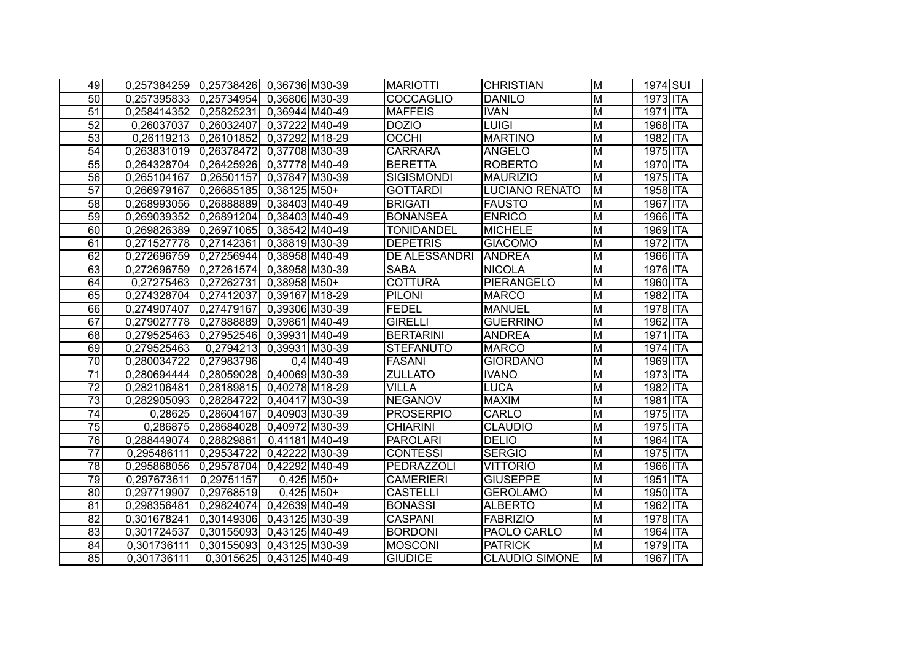| 49              | 0,257384259 0,25738426 0,36736 M30-39 |                            |                |              | <b>MARIOTTI</b>   | <b>CHRISTIAN</b>      | lм                      | 1974 SUI |
|-----------------|---------------------------------------|----------------------------|----------------|--------------|-------------------|-----------------------|-------------------------|----------|
| $\overline{50}$ | 0,257395833 0,25734954                |                            | 0.36806 M30-39 |              | <b>COCCAGLIO</b>  | <b>DANILO</b>         | $\overline{M}$          | 1973 ITA |
| $\overline{51}$ | 0,258414352                           | 0,25825231                 | 0,36944 M40-49 |              | <b>MAFFEIS</b>    | <b>IVAN</b>           | M                       | 1971 ITA |
| 52              | 0,26037037                            | 0,26032407                 | 0.37222 M40-49 |              | <b>DOZIO</b>      | <b>LUIGI</b>          | $\overline{M}$          | 1968 ITA |
| $\overline{53}$ | 0,26119213                            | 0,26101852                 | 0.37292 M18-29 |              | <b>OCCHI</b>      | <b>MARTINO</b>        | $\overline{M}$          | 1982 ITA |
| 54              | 0,263831019                           | 0,26378472                 | 0,37708 M30-39 |              | <b>CARRARA</b>    | <b>ANGELO</b>         | $\overline{\mathsf{M}}$ | 1975 ITA |
| 55              | 0,264328704                           | 0,26425926                 | 0,37778 M40-49 |              | <b>BERETTA</b>    | <b>ROBERTO</b>        | $\overline{M}$          | 1970 ITA |
| $\overline{56}$ | 0,265104167                           | 0,26501157                 | 0.37847 M30-39 |              | <b>SIGISMONDI</b> | <b>MAURIZIO</b>       | $\overline{\mathsf{M}}$ | 1975 ITA |
| $\overline{57}$ | 0,266979167                           | 0,26685185                 | $0,38125$ M50+ |              | <b>GOTTARDI</b>   | <b>LUCIANO RENATO</b> | $\overline{\mathsf{M}}$ | 1958 ITA |
| $\overline{58}$ | 0,268993056                           | 0,26888889                 | 0.38403 M40-49 |              | <b>BRIGATI</b>    | <b>FAUSTO</b>         | $\overline{M}$          | 1967 ITA |
| 59              | 0,269039352                           | 0,26891204                 | 0.38403 M40-49 |              | <b>BONANSEA</b>   | <b>ENRICO</b>         | $\overline{\mathsf{M}}$ | 1966 ITA |
| 60              | 0,269826389                           | 0,26971065                 | 0,38542 M40-49 |              | <b>TONIDANDEL</b> | <b>MICHELE</b>        | $\overline{\mathsf{M}}$ | 1969 ITA |
| 61              | 0.271527778                           | 0,27142361                 | 0.38819 M30-39 |              | <b>DEPETRIS</b>   | <b>GIACOMO</b>        | $\overline{\mathsf{M}}$ | 1972 ITA |
| 62              | 0,272696759                           | 0,27256944                 | 0,38958 M40-49 |              | DE ALESSANDRI     | <b>ANDREA</b>         | $\overline{\mathsf{M}}$ | 1966 ITA |
| 63              | 0,272696759                           | 0,27261574                 | 0,38958 M30-39 |              | <b>SABA</b>       | <b>NICOLA</b>         | M                       | 1976 ITA |
| 64              | 0,27275463                            | 0,27262731                 | $0,38958$ M50+ |              | <b>COTTURA</b>    | <b>PIERANGELO</b>     | $\overline{M}$          | 1960 ITA |
| 65              | 0,274328704                           | 0,27412037                 | 0.39167 M18-29 |              | <b>PILONI</b>     | <b>MARCO</b>          | $\overline{\mathsf{M}}$ | 1982 ITA |
| 66              | 0,274907407                           | 0,27479167                 | 0,39306 M30-39 |              | <b>FEDEL</b>      | <b>MANUEL</b>         | $\overline{\mathsf{M}}$ | 1978 ITA |
| 67              | 0.279027778                           | 0,27888889                 | 0.39861 M40-49 |              | <b>GIRELLI</b>    | <b>GUERRINO</b>       | $\overline{M}$          | 1962 ITA |
| 68              | 0,279525463 0,27952546                |                            | 0.39931M40-49  |              | <b>BERTARINI</b>  | <b>ANDREA</b>         | $\overline{\mathsf{M}}$ | 1971 ITA |
| 69              | 0,279525463                           | 0,2794213                  | 0.39931 M30-39 |              | <b>STEFANUTO</b>  | <b>MARCO</b>          | M                       | 1974 ITA |
| 70              | 0.280034722                           | 0,27983796                 |                | $0,4$ M40-49 | <b>FASANI</b>     | <b>GIORDANO</b>       | M                       | 1969 ITA |
| $\overline{71}$ | 0,280694444 0,28059028                |                            | 0,40069M30-39  |              | <b>ZULLATO</b>    | <b>IVANO</b>          | M                       | 1973 ITA |
| 72              | 0,282106481                           | $\boxed{0,28189815}$       | 0,40278M18-29  |              | <b>VILLA</b>      | <b>LUCA</b>           | M                       | 1982 ITA |
| 73              | 0.282905093                           | 0,28284722                 | 0,40417 M30-39 |              | <b>NEGANOV</b>    | <b>MAXIM</b>          | M                       | 1981 ITA |
| $\overline{74}$ |                                       | 0,28625 0,28604167         | 0.40903 M30-39 |              | <b>PROSERPIO</b>  | CARLO                 | $\overline{\mathsf{M}}$ | 1975 ITA |
| $\overline{75}$ | 0,286875                              | 0,28684028                 | 0,40972M30-39  |              | <b>CHIARINI</b>   | <b>CLAUDIO</b>        | $\overline{M}$          | 1975 ITA |
| 76              | 0,288449074                           | 0,28829861                 | 0,41181 M40-49 |              | <b>PAROLARI</b>   | <b>DELIO</b>          | M                       | 1964 ITA |
| $\overline{77}$ | 0,295486111                           | 0,29534722                 | 0.42222 M30-39 |              | <b>CONTESSI</b>   | <b>SERGIO</b>         | $\overline{\mathsf{M}}$ | 1975 ITA |
| $\overline{78}$ | 0,295868056                           | 0,29578704                 | 0,42292 M40-49 |              | <b>PEDRAZZOLI</b> | <b>VITTORIO</b>       | $\overline{\mathsf{M}}$ | 1966 ITA |
| $\overline{79}$ | 0,297673611                           | 0,29751157                 |                | $0,425$ M50+ | <b>CAMERIERI</b>  | <b>GIUSEPPE</b>       | $\overline{\mathsf{M}}$ | 1951 ITA |
| 80              | 0,297719907                           | 0,29768519                 |                | $0.425$ M50+ | <b>CASTELLI</b>   | <b>GEROLAMO</b>       | $\overline{M}$          | 1950 ITA |
| $\overline{81}$ | 0,298356481                           | 0,29824074                 | 0,42639 M40-49 |              | <b>BONASSI</b>    | <b>ALBERTO</b>        | $\overline{M}$          | 1962 ITA |
| $\overline{82}$ | 0,301678241                           | 0,30149306  0,43125 M30-39 |                |              | <b>CASPANI</b>    | <b>FABRIZIO</b>       | $\overline{M}$          | 1978 ITA |
| $\overline{83}$ | 0,301724537                           | 0,30155093                 | 0.43125 M40-49 |              | <b>BORDONI</b>    | PAOLO CARLO           | $\overline{M}$          | 1964 ITA |
| 84              | 0,301736111                           | 0,30155093                 | 0,43125 M30-39 |              | <b>MOSCONI</b>    | <b>PATRICK</b>        | $\overline{M}$          | 1979 ITA |
| 85              | 0.301736111                           | 0,3015625                  | 0.43125 M40-49 |              | <b>GIUDICE</b>    | <b>CLAUDIO SIMONE</b> | M                       | 1967 ITA |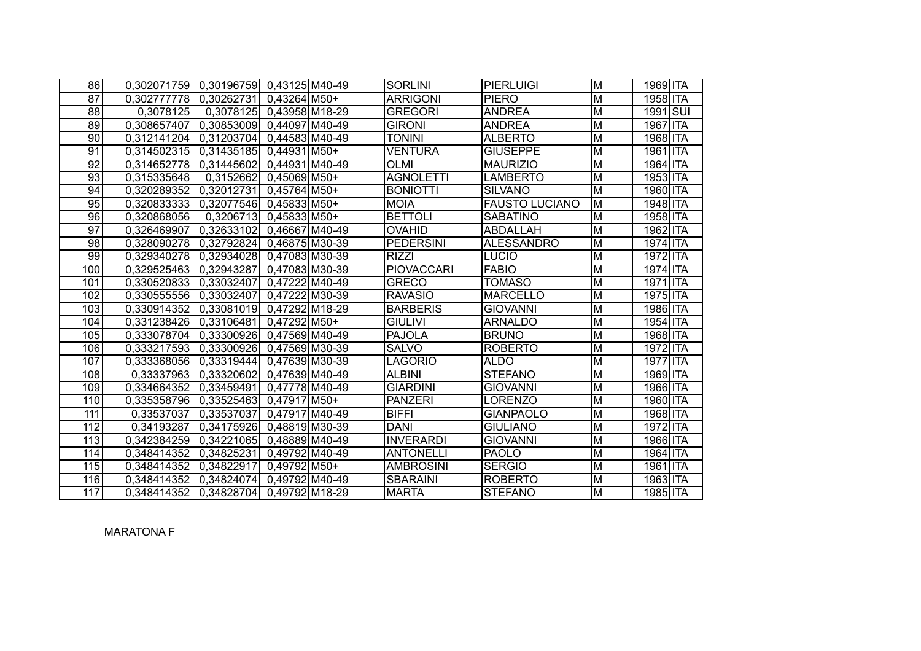| 86              | 0,302071759 0,30196759 0,43125 M40-49 |                          |                          | <b>SORLINI</b>    | PIERLUIGI             | M                       | 1969 ITA |
|-----------------|---------------------------------------|--------------------------|--------------------------|-------------------|-----------------------|-------------------------|----------|
| $\overline{87}$ | 0,302777778 0,30262731                |                          | 0.43264 M50+             | <b>ARRIGONI</b>   | <b>PIERO</b>          | $\overline{\mathsf{M}}$ | 1958 ITA |
| $\overline{88}$ | 0,3078125                             | 0,3078125 0,43958 M18-29 |                          | <b>GREGORI</b>    | <b>ANDREA</b>         | $\overline{M}$          | 1991 SUI |
| 89              | 0.308657407                           | 0,30853009               | 0.44097 M40-49           | <b>GIRONI</b>     | <b>ANDREA</b>         | M                       | 1967 ITA |
| $\overline{90}$ | 0,312141204                           | $\overline{0,312}03704$  | 0,44583 M40-49           | <b>TONINI</b>     | <b>ALBERTO</b>        | $\overline{M}$          | 1968 ITA |
| $\overline{91}$ | $0,314502315$ 0.31435185              |                          | 0.44931 M50+             | <b>VENTURA</b>    | <b>GIUSEPPE</b>       | $\overline{M}$          | 1961 ITA |
| $\overline{92}$ | 0,314652778 0,31445602                |                          | 0.44931 M40-49           | <b>OLMI</b>       | <b>MAURIZIO</b>       | M                       | 1964 ITA |
| 93              | 0,315335648                           | 0,3152662                | $0,45069$ M50+           | <b>AGNOLETTI</b>  | <b>LAMBERTO</b>       | $\overline{M}$          | 1953 ITA |
| 94              | 0,320289352 0,32012731                |                          | $0.45764 \, \text{M}50+$ | <b>BONIOTTI</b>   | <b>SILVANO</b>        | $\overline{M}$          | 1960 ITA |
| 95              | 0,320833333                           | 0,32077546               | $0.45833 \mid M50+$      | <b>MOIA</b>       | <b>FAUSTO LUCIANO</b> | M                       | 1948 ITA |
| 96              | 0,320868056                           | 0,3206713                | $0,45833 \mid M50+$      | <b>BETTOLI</b>    | <b>SABATINO</b>       | M                       | 1958 ITA |
| $\overline{97}$ | 0,326469907 0,32633102 0,46667 M40-49 |                          |                          | <b>OVAHID</b>     | ABDALLAH              | M                       | 1962 ITA |
| 98              | 0,328090278                           | 0,32792824               | 0.46875 M30-39           | <b>PEDERSINI</b>  | <b>ALESSANDRO</b>     | M                       | 1974 ITA |
| 99              | 0,329340278 0,32934028 0,47083 M30-39 |                          |                          | <b>RIZZI</b>      | LUCIO                 | M                       | 1972 ITA |
| 100             | 0,329525463 0,32943287                |                          | 0.47083M30-39            | <b>PIOVACCARI</b> | <b>FABIO</b>          | M                       | 1974 ITA |
| 101             | 0,330520833                           | 0,33032407               | 0.47222 M40-49           | <b>GRECO</b>      | <b>TOMASO</b>         | M                       | 1971 ITA |
| 102             | 0,330555556                           | 0,33032407               | 0,47222 M30-39           | <b>RAVASIO</b>    | <b>MARCELLO</b>       | M                       | 1975 ITA |
| 103             | 0,330914352 0,33081019                |                          | 0,47292M18-29            | <b>BARBERIS</b>   | <b>GIOVANNI</b>       | M                       | 1986 ITA |
| 104             | 0,331238426                           | 0,33106481               | $0.47292$ M50+           | <b>GIULIVI</b>    | <b>ARNALDO</b>        | M                       | 1954 ITA |
| 105             | 0,333078704 0,33300926                |                          | 0,47569 M40-49           | <b>PAJOLA</b>     | <b>BRUNO</b>          | M                       | 1968 ITA |
| 106             | 0,333217593 0,33300926                |                          | 0,47569 M30-39           | <b>SALVO</b>      | <b>ROBERTO</b>        | M                       | 1972 ITA |
| 107             | 0,333368056                           | 0,33319444               | 0.47639 M30-39           | LAGORIO           | <b>ALDO</b>           | M                       | 1977 ITA |
| 108             | 0,33337963                            | 0,33320602               | 0.47639 M40-49           | <b>ALBINI</b>     | <b>STEFANO</b>        | M                       | 1969 ITA |
| 109             | 0,334664352                           | 0.33459491               | 0.47778 M40-49           | <b>GIARDINI</b>   | <b>GIOVANNI</b>       | M                       | 1966 ITA |
| 110             | 0,335358796                           | 0,33525463               | $0,47917$ M50+           | <b>PANZERI</b>    | LORENZO               | M                       | 1960 ITA |
| 111             | 0,33537037                            | 0,33537037               | 0.47917 M40-49           | <b>BIFFI</b>      | <b>GIANPAOLO</b>      | M                       | 1968 ITA |
| 112             | 0,34193287                            | 0,34175926               | 0.48819M30-39            | <b>DANI</b>       | <b>GIULIANO</b>       | M                       | 1972 ITA |
| 113             | 0,342384259                           | 0,34221065               | 0,48889 M40-49           | <b>INVERARDI</b>  | <b>GIOVANNI</b>       | M                       | 1966 ITA |
| 114             | 0,348414352                           | 0,34825231               | 0,49792 M40-49           | <b>ANTONELLI</b>  | <b>PAOLO</b>          | M                       | 1964 ITA |
| 115             | 0,348414352                           | 0,34822917               | 0.49792 M50+             | <b>AMBROSINI</b>  | <b>SERGIO</b>         | M                       | 1961 ITA |
| 116             | 0,348414352                           | 0.34824074               | 0,49792 M40-49           | <b>SBARAINI</b>   | <b>ROBERTO</b>        | M                       | 1963 ITA |
| 117             | 0,348414352                           | 0,34828704               | 0.49792M18-29            | <b>MARTA</b>      | <b>STEFANO</b>        | M                       | 1985 ITA |

MARATONA F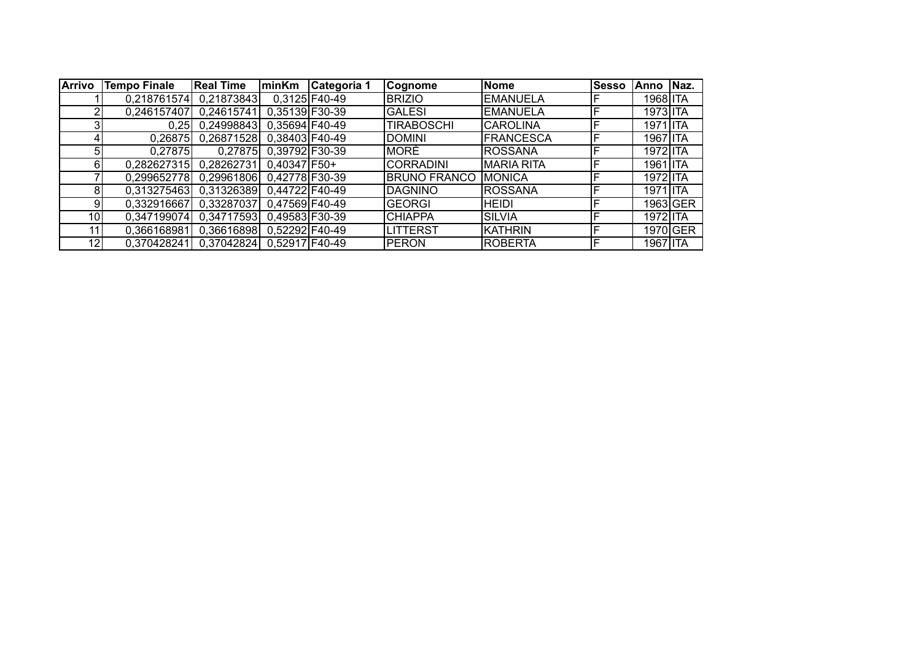| <b>Arrivo</b>  | <b>Tempo Finale</b> | <b>Real Time</b>          | <b>minKm</b>           | Categoria 1     | Cognome             | Nome              | <b>Sesso</b> | lAnno    | Naz.     |
|----------------|---------------------|---------------------------|------------------------|-----------------|---------------------|-------------------|--------------|----------|----------|
|                |                     | 0.218761574 0.21873843    |                        | $0,3125$ F40-49 | <b>BRIZIO</b>       | <b>EMANUELA</b>   |              | 1968 ITA |          |
| $\overline{2}$ | 0,246157407         | 0,24615741                | 0,35139 F30-39         |                 | <b>GALESI</b>       | <b>EMANUELA</b>   |              | 1973 ITA |          |
| 3              | 0.25                | 0,24998843 0,35694 F40-49 |                        |                 | <b>TIRABOSCHI</b>   | <b>CAROLINA</b>   |              | 1971 ITA |          |
| 4              | 0,26875             | 0.26871528                | 0,38403 F40-49         |                 | <b>DOMINI</b>       | <b>FRANCESCA</b>  |              | 1967 ITA |          |
| 5              | 0,27875             |                           | 0,27875 0,39792 F30-39 |                 | <b>MORÈ</b>         | ROSSANA           |              | 1972 ITA |          |
| $6 \mid$       | 0,282627315         | 0.28262731                | $0,40347$ F50+         |                 | <b>CORRADINI</b>    | <b>MARIA RITA</b> |              | 1961 ITA |          |
|                | 0.299652778         | 0,29961806 0,42778 F30-39 |                        |                 | <b>BRUNO FRANCO</b> | <b>MONICA</b>     |              | 1972 ITA |          |
| 8 <sup>1</sup> | 0,313275463         | 0,31326389 0,44722 F40-49 |                        |                 | <b>DAGNINO</b>      | <b>ROSSANA</b>    |              | 1971 ITA |          |
| 9              | 0.332916667         | 0,33287037                | 0,47569 F40-49         |                 | <b>GEORGI</b>       | HEIDI             |              |          | 1963 GER |
| 10             | 0,347199074         | 0.34717593                | 0.49583 F30-39         |                 | <b>CHIAPPA</b>      | <b>SILVIA</b>     |              | 1972 ITA |          |
| 11             | 0,366168981         | 0,36616898 0,52292 F40-49 |                        |                 | <b>LITTERST</b>     | KATHRIN           |              |          | 1970 GER |
| 12             | 0,370428241         | 0,37042824 0,52917 F40-49 |                        |                 | <b>PERON</b>        | <b>ROBERTA</b>    |              | 1967 ITA |          |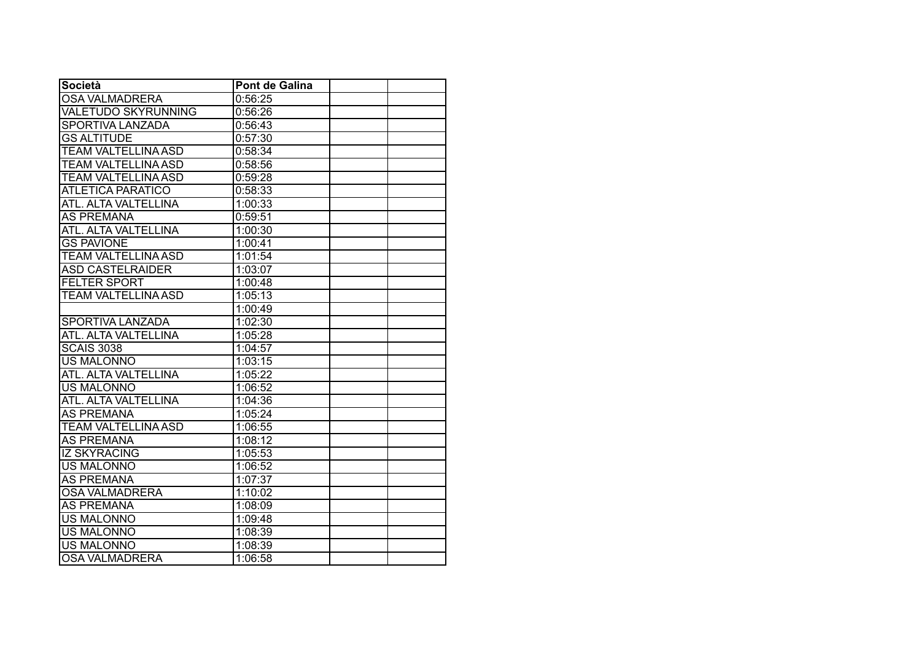| <b>Società</b>             | <b>Pont de Galina</b> |  |
|----------------------------|-----------------------|--|
| <b>OSA VALMADRERA</b>      | 0:56:25               |  |
| <b>VALETUDO SKYRUNNING</b> | 0:56:26               |  |
| <b>SPORTIVA LANZADA</b>    | 0:56:43               |  |
| <b>GS ALTITUDE</b>         | 0:57:30               |  |
| <b>TEAM VALTELLINA ASD</b> | 0:58:34               |  |
| <b>TEAM VALTELLINA ASD</b> | 0:58:56               |  |
| <b>TEAM VALTELLINA ASD</b> | 0:59:28               |  |
| <b>ATLETICA PARATICO</b>   | 0:58:33               |  |
| ATL. ALTA VALTELLINA       | 1:00:33               |  |
| <b>AS PREMANA</b>          | 0:59:51               |  |
| ATL. ALTA VALTELLINA       | 1:00:30               |  |
| <b>GS PAVIONE</b>          | 1:00:41               |  |
| <b>TEAM VALTELLINA ASD</b> | 1:01:54               |  |
| <b>ASD CASTELRAIDER</b>    | 1:03:07               |  |
| <b>FELTER SPORT</b>        | 1:00:48               |  |
| <b>TEAM VALTELLINA ASD</b> | 1:05:13               |  |
|                            | 1:00:49               |  |
| <b>SPORTIVA LANZADA</b>    | 1:02:30               |  |
| ATL. ALTA VALTELLINA       | 1:05:28               |  |
| <b>SCAIS 3038</b>          | 1:04:57               |  |
| <b>US MALONNO</b>          | 1:03:15               |  |
| ATL. ALTA VALTELLINA       | 1:05:22               |  |
| <b>US MALONNO</b>          | 1:06:52               |  |
| ATL. ALTA VALTELLINA       | 1:04:36               |  |
| <b>AS PREMANA</b>          | 1:05:24               |  |
| <b>TEAM VALTELLINA ASD</b> | 1:06:55               |  |
| <b>AS PREMANA</b>          | 1:08:12               |  |
| <b>IZ SKYRACING</b>        | 1:05:53               |  |
| <b>US MALONNO</b>          | 1:06:52               |  |
| <b>AS PREMANA</b>          | 1:07:37               |  |
| <b>OSA VALMADRERA</b>      | 1:10:02               |  |
| <b>AS PREMANA</b>          | 1:08:09               |  |
| <b>US MALONNO</b>          | 1:09:48               |  |
| <b>US MALONNO</b>          | 1:08:39               |  |
| <b>US MALONNO</b>          | 1:08:39               |  |
| <b>OSA VALMADRERA</b>      | 1:06:58               |  |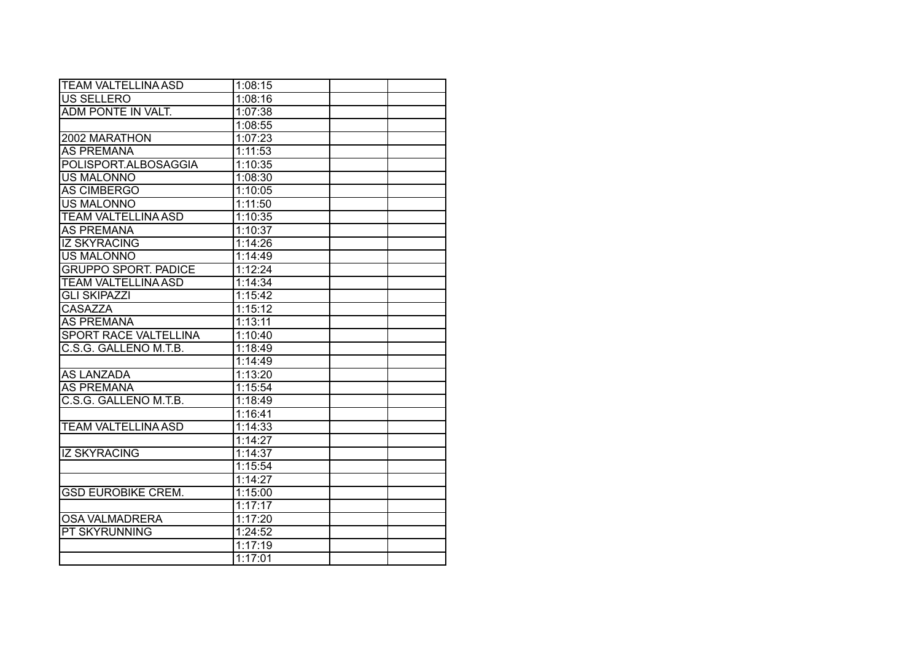| <b>TEAM VALTELLINA ASD</b>   | 1:08:15 |  |
|------------------------------|---------|--|
| <b>US SELLERO</b>            | 1:08:16 |  |
| ADM PONTE IN VALT.           | 1:07:38 |  |
|                              | 1:08:55 |  |
| 2002 MARATHON                | 1:07:23 |  |
| <b>AS PREMANA</b>            | 1:11:53 |  |
| POLISPORT.ALBOSAGGIA         | 1:10:35 |  |
| <b>US MALONNO</b>            | 1:08:30 |  |
| <b>AS CIMBERGO</b>           | 1:10:05 |  |
| <b>US MALONNO</b>            | 1:11:50 |  |
| <b>TEAM VALTELLINA ASD</b>   | 1:10:35 |  |
| <b>AS PREMANA</b>            | 1:10:37 |  |
| <b>IZ SKYRACING</b>          | 1:14:26 |  |
| <b>US MALONNO</b>            | 1:14:49 |  |
| <b>GRUPPO SPORT. PADICE</b>  | 1:12:24 |  |
| <b>TEAM VALTELLINA ASD</b>   | 1:14:34 |  |
| <b>GLI SKIPAZZI</b>          | 1:15:42 |  |
| <b>CASAZZA</b>               | 1:15:12 |  |
| <b>AS PREMANA</b>            | 1:13:11 |  |
| <b>SPORT RACE VALTELLINA</b> | 1:10:40 |  |
| C.S.G. GALLENO M.T.B.        | 1:18:49 |  |
|                              | 1:14:49 |  |
| <b>AS LANZADA</b>            | 1:13:20 |  |
| <b>AS PREMANA</b>            | 1:15:54 |  |
| C.S.G. GALLENO M.T.B.        | 1:18:49 |  |
|                              | 1:16:41 |  |
| <b>TEAM VALTELLINA ASD</b>   | 1:14:33 |  |
|                              | 1:14:27 |  |
| <b>IZ SKYRACING</b>          | 1:14:37 |  |
|                              | 1:15:54 |  |
|                              | 1:14:27 |  |
| <b>GSD EUROBIKE CREM.</b>    | 1:15:00 |  |
|                              | 1:17:17 |  |
| <b>OSA VALMADRERA</b>        | 1:17:20 |  |
| <b>PT SKYRUNNING</b>         | 1:24:52 |  |
|                              | 1:17:19 |  |
|                              | 1:17:01 |  |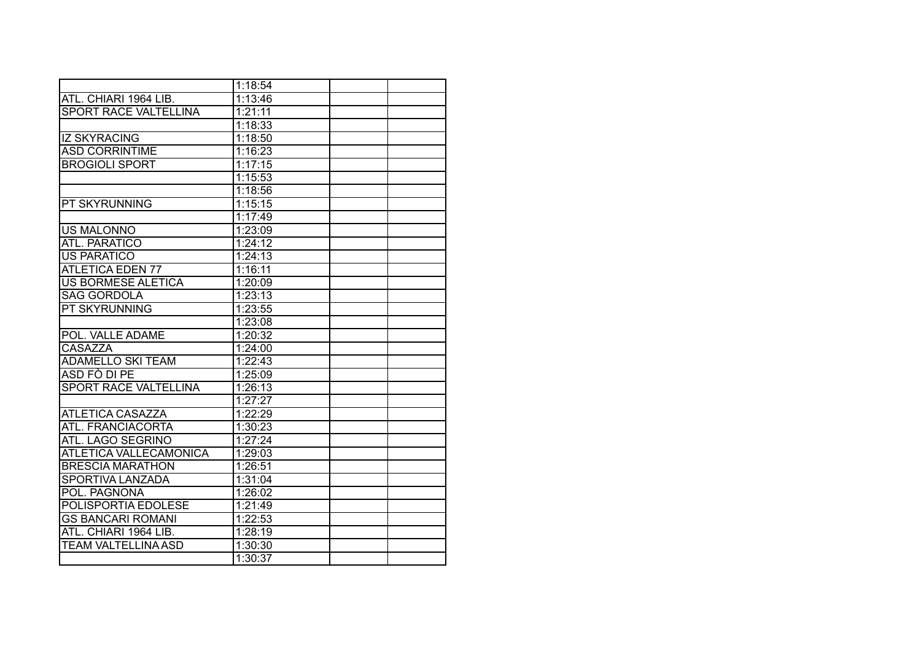|                              | 1:18:54 |  |
|------------------------------|---------|--|
| ATL. CHIARI 1964 LIB.        | 1:13:46 |  |
| <b>SPORT RACE VALTELLINA</b> | 1:21:11 |  |
|                              | 1:18:33 |  |
| <b>IZ SKYRACING</b>          | 1:18:50 |  |
| <b>ASD CORRINTIME</b>        | 1:16:23 |  |
| <b>BROGIOLI SPORT</b>        | 1:17:15 |  |
|                              | 1:15:53 |  |
|                              | 1:18:56 |  |
| PT SKYRUNNING                | 1:15:15 |  |
|                              | 1:17:49 |  |
| <b>US MALONNO</b>            | 1:23:09 |  |
| ATL. PARATICO                | 1:24:12 |  |
| <b>US PARATICO</b>           | 1:24:13 |  |
| <b>ATLETICA EDEN 77</b>      | 1:16:11 |  |
| <b>US BORMESE ALETICA</b>    | 1:20:09 |  |
| <b>SAG GORDOLA</b>           | 1:23:13 |  |
| PT SKYRUNNING                | 1:23:55 |  |
|                              | 1:23:08 |  |
| POL. VALLE ADAME             | 1:20:32 |  |
| <b>CASAZZA</b>               | 1:24:00 |  |
| <b>ADAMELLO SKI TEAM</b>     | 1:22:43 |  |
| ASD FO DI PE                 | 1:25:09 |  |
| <b>SPORT RACE VALTELLINA</b> | 1:26:13 |  |
|                              | 1:27:27 |  |
| <b>ATLETICA CASAZZA</b>      | 1:22:29 |  |
| ATL. FRANCIACORTA            | 1:30:23 |  |
| ATL. LAGO SEGRINO            | 1:27:24 |  |
| ATLETICA VALLECAMONICA       | 1:29:03 |  |
| <b>BRESCIA MARATHON</b>      | 1:26:51 |  |
| <b>SPORTIVA LANZADA</b>      | 1:31:04 |  |
| POL. PAGNONA                 | 1:26:02 |  |
| POLISPORTIA EDOLESE          | 1:21:49 |  |
| <b>GS BANCARI ROMANI</b>     | 1:22:53 |  |
| ATL. CHIARI 1964 LIB.        | 1:28:19 |  |
| <b>TEAM VALTELLINA ASD</b>   | 1:30:30 |  |
|                              | 1:30:37 |  |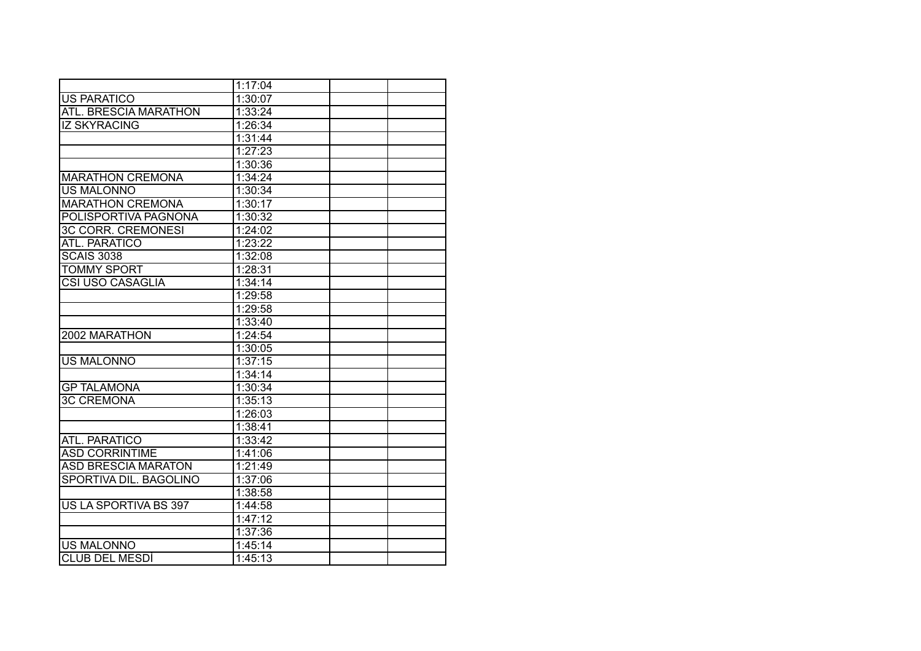|                              | 1:17:04 |  |
|------------------------------|---------|--|
| <b>US PARATICO</b>           | 1:30:07 |  |
| <b>ATL. BRESCIA MARATHON</b> | 1:33:24 |  |
| <b>IZ SKYRACING</b>          | 1:26:34 |  |
|                              | 1:31:44 |  |
|                              | 1:27:23 |  |
|                              | 1:30:36 |  |
| <b>MARATHON CREMONA</b>      | 1:34:24 |  |
| <b>US MALONNO</b>            | 1:30:34 |  |
| <b>MARATHON CREMONA</b>      | 1:30:17 |  |
| POLISPORTIVA PAGNONA         | 1:30:32 |  |
| <b>3C CORR. CREMONESI</b>    | 1:24:02 |  |
| ATL. PARATICO                | 1:23:22 |  |
| <b>SCAIS 3038</b>            | 1:32:08 |  |
| <b>TOMMY SPORT</b>           | 1:28:31 |  |
| <b>CSI USO CASAGLIA</b>      | 1:34:14 |  |
|                              | 1:29:58 |  |
|                              | 1:29:58 |  |
|                              | 1:33:40 |  |
| 2002 MARATHON                | 1:24:54 |  |
|                              | 1:30:05 |  |
| <b>US MALONNO</b>            | 1:37:15 |  |
|                              | 1:34:14 |  |
| <b>GP TALAMONA</b>           | 1:30:34 |  |
| <b>3C CREMONA</b>            | 1:35:13 |  |
|                              | 1:26:03 |  |
|                              | 1:38:41 |  |
| ATL. PARATICO                | 1:33:42 |  |
| <b>ASD CORRINTIME</b>        | 1:41:06 |  |
| <b>ASD BRESCIA MARATON</b>   | 1:21:49 |  |
| SPORTIVA DIL. BAGOLINO       | 1:37:06 |  |
|                              | 1:38:58 |  |
| US LA SPORTIVA BS 397        | 1:44:58 |  |
|                              | 1:47:12 |  |
|                              | 1:37:36 |  |
| <b>US MALONNO</b>            | 1:45:14 |  |
| <b>CLUB DEL MESDI</b>        | 1:45:13 |  |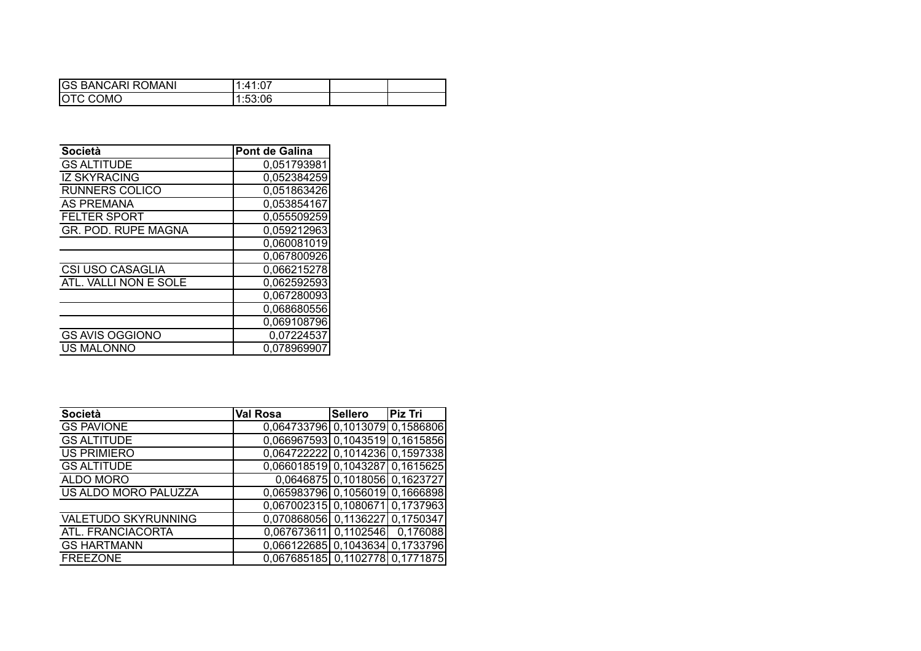| <b>GS BANCARI ROMANI</b> | .1:41:07 |  |
|--------------------------|----------|--|
| <b>OTC COMO</b>          | 1:53:06  |  |

| <b>Società</b>          | Pont de Galina |
|-------------------------|----------------|
| <b>GS ALTITUDE</b>      | 0,051793981    |
| <b>IZ SKYRACING</b>     | 0,052384259    |
| <b>RUNNERS COLICO</b>   | 0,051863426    |
| <b>AS PREMANA</b>       | 0,053854167    |
| <b>FELTER SPORT</b>     | 0,055509259    |
| GR. POD. RUPE MAGNA     | 0.059212963    |
|                         | 0,060081019    |
|                         | 0,067800926    |
| <b>CSI USO CASAGLIA</b> | 0.066215278    |
| ATL. VALLI NON E SOLE   | 0,062592593    |
|                         | 0,067280093    |
|                         | 0,068680556    |
|                         | 0,069108796    |
| <b>GS AVIS OGGIONO</b>  | 0,07224537     |
| <b>US MALONNO</b>       | 0,078969907    |

| <b>Società</b>             | <b>Val Rosa</b>                 | Sellero                       | Piz Tri |
|----------------------------|---------------------------------|-------------------------------|---------|
| <b>GS PAVIONE</b>          | 0,064733796 0,1013079 0,1586806 |                               |         |
| <b>GS ALTITUDE</b>         | 0,066967593 0,1043519 0,1615856 |                               |         |
| <b>US PRIMIERO</b>         | 0,064722222 0,1014236 0,1597338 |                               |         |
| <b>GS ALTITUDE</b>         | 0,066018519 0,1043287 0,1615625 |                               |         |
| ALDO MORO                  |                                 | 0,0646875 0,1018056 0,1623727 |         |
| US ALDO MORO PALUZZA       | 0,065983796 0,1056019 0,1666898 |                               |         |
|                            | 0,067002315 0,1080671 0,1737963 |                               |         |
| <b>VALETUDO SKYRUNNING</b> | 0,070868056 0,1136227 0,1750347 |                               |         |
| ATL. FRANCIACORTA          | 0.067673611 0.1102546 0.176088  |                               |         |
| <b>GS HARTMANN</b>         | 0,066122685 0,1043634 0,1733796 |                               |         |
| <b>FREEZONE</b>            | 0,067685185 0,1102778 0,1771875 |                               |         |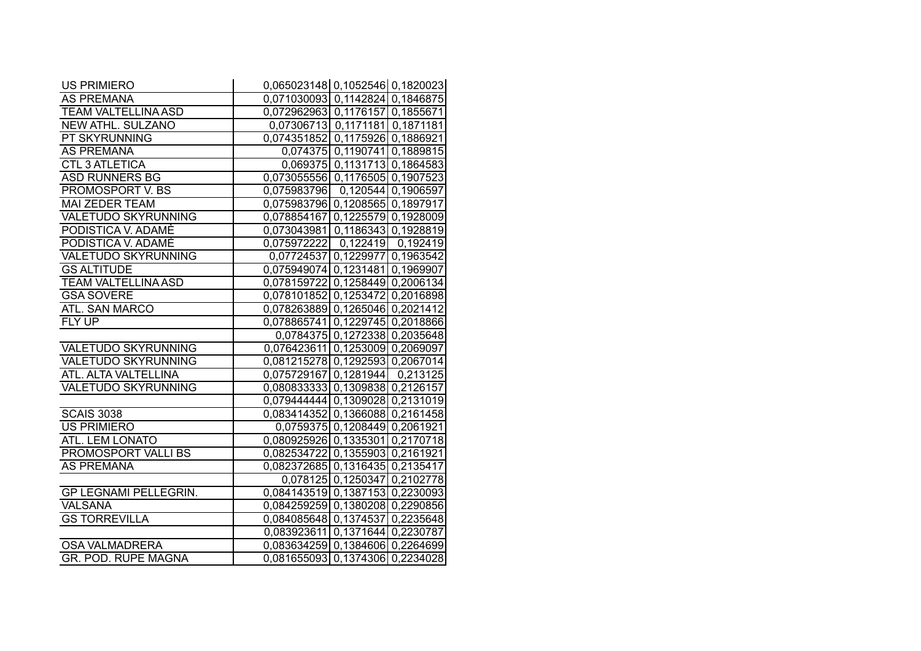| <b>US PRIMIERO</b>           | 0,065023148 0,1052546 0,1820023                                    |                               |  |
|------------------------------|--------------------------------------------------------------------|-------------------------------|--|
| <b>AS PREMANA</b>            | 0,071030093 0,1142824 0,1846875                                    |                               |  |
| <b>TEAM VALTELLINA ASD</b>   | 0,072962963 0,1176157 0,1855671                                    |                               |  |
| <b>NEW ATHL. SULZANO</b>     | 0,07306713 0,1171181 0,1871181                                     |                               |  |
| PT SKYRUNNING                | 0,074351852 0,1175926 0,1886921                                    |                               |  |
| <b>AS PREMANA</b>            |                                                                    | 0,074375 0,1190741 0,1889815  |  |
| <b>CTL 3 ATLETICA</b>        |                                                                    | 0,069375 0,1131713 0,1864583  |  |
| <b>ASD RUNNERS BG</b>        | 0,073055556 0,1176505 0,1907523                                    |                               |  |
| <b>PROMOSPORT V. BS</b>      | 0,075983796  0,120544  0,1906597                                   |                               |  |
| <b>MAI ZEDER TEAM</b>        | 0,075983796 0,1208565 0,1897917                                    |                               |  |
| <b>VALETUDO SKYRUNNING</b>   | 0,078854167 0,1225579 0,1928009                                    |                               |  |
| PODISTICA V. ADAMÈ           | 0,073043981 0,1186343 0,1928819                                    |                               |  |
| PODISTICA V. ADAMÈ           | 0,075972222 0,122419 0,192419                                      |                               |  |
| <b>VALETUDO SKYRUNNING</b>   | 0,07724537 0,1229977 0,1963542                                     |                               |  |
| <b>GS ALTITUDE</b>           |                                                                    |                               |  |
| TEAM VALTELLINA ASD          | 0,075949074 0,1231481 0,1969907<br>0,078159722 0,1258449 0,2006134 |                               |  |
|                              |                                                                    |                               |  |
| <b>GSA SOVERE</b>            | 0,078101852 0,1253472 0,2016898                                    |                               |  |
| ATL. SAN MARCO               | 0,078263889 0,1265046 0,2021412                                    |                               |  |
| FLY UP                       | 0,078865741 0,1229745 0,2018866                                    |                               |  |
|                              |                                                                    | 0,0784375 0,1272338 0,2035648 |  |
| VALETUDO SKYRUNNING          | 0,076423611 0,1253009 0,2069097                                    |                               |  |
| VALETUDO SKYRUNNING          | 0,081215278 0,1292593 0,2067014                                    |                               |  |
| ATL. ALTA VALTELLINA         | 0,075729167 0,1281944 0,213125                                     |                               |  |
| <b>VALETUDO SKYRUNNING</b>   | 0,080833333 0,1309838 0,2126157                                    |                               |  |
|                              | 0,079444444 0,1309028 0,2131019                                    |                               |  |
| <b>SCAIS 3038</b>            | 0,083414352 0,1366088 0,2161458                                    |                               |  |
| <b>US PRIMIERO</b>           |                                                                    | 0,0759375 0,1208449 0,2061921 |  |
| ATL. LEM LONATO              | 0,080925926 0,1335301 0,2170718                                    |                               |  |
| <b>PROMOSPORT VALLI BS</b>   | 0,082534722 0,1355903 0,2161921                                    |                               |  |
| <b>AS PREMANA</b>            | 0,082372685 0,1316435 0,2135417                                    |                               |  |
|                              |                                                                    | 0,078125 0,1250347 0,2102778  |  |
| <b>GP LEGNAMI PELLEGRIN.</b> | 0,084143519 0,1387153 0,2230093                                    |                               |  |
| <b>VALSANA</b>               | 0,084259259 0,1380208 0,2290856                                    |                               |  |
| <b>GS TORREVILLA</b>         | 0,084085648 0,1374537 0,2235648                                    |                               |  |
|                              | 0,083923611 0,1371644 0,2230787                                    |                               |  |
| <b>OSA VALMADRERA</b>        | 0,083634259 0,1384606 0,2264699                                    |                               |  |
| <b>GR. POD. RUPE MAGNA</b>   | 0,081655093 0,1374306 0,2234028                                    |                               |  |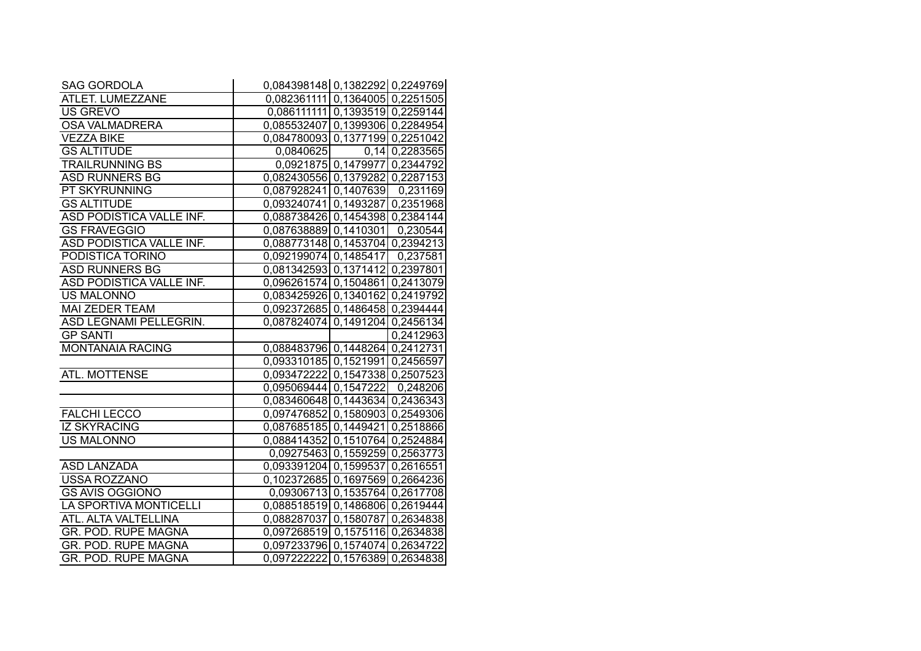| <b>SAG GORDOLA</b>         | 0,084398148 0,1382292 0,2249769 |                               |                  |
|----------------------------|---------------------------------|-------------------------------|------------------|
| ATLET. LUMEZZANE           | 0,082361111 0,1364005 0,2251505 |                               |                  |
| <b>US GREVO</b>            | 0,086111111 0,1393519 0,2259144 |                               |                  |
| <b>OSA VALMADRERA</b>      | 0,085532407 0,1399306 0,2284954 |                               |                  |
| <b>VEZZA BIKE</b>          | 0,084780093 0,1377199 0,2251042 |                               |                  |
| <b>GS ALTITUDE</b>         | 0,0840625                       |                               | $0,14$ 0,2283565 |
| <b>TRAILRUNNING BS</b>     |                                 | 0,0921875 0,1479977 0,2344792 |                  |
| <b>ASD RUNNERS BG</b>      | 0,082430556 0,1379282 0,2287153 |                               |                  |
| <b>PT SKYRUNNING</b>       | 0,087928241 0,1407639 0,231169  |                               |                  |
| <b>GS ALTITUDE</b>         | 0,093240741 0,1493287 0,2351968 |                               |                  |
| ASD PODISTICA VALLE INF.   | 0,088738426 0,1454398 0,2384144 |                               |                  |
| <b>GS FRAVEGGIO</b>        | 0,087638889 0,1410301 0,230544  |                               |                  |
| ASD PODISTICA VALLE INF.   | 0,088773148 0,1453704 0,2394213 |                               |                  |
| PODISTICA TORINO           | 0,092199074 0,1485417 0,237581  |                               |                  |
| <b>ASD RUNNERS BG</b>      | 0,081342593 0,1371412 0,2397801 |                               |                  |
| ASD PODISTICA VALLE INF.   | 0,096261574 0,1504861 0,2413079 |                               |                  |
| <b>US MALONNO</b>          | 0,083425926 0,1340162 0,2419792 |                               |                  |
| <b>MAI ZEDER TEAM</b>      | 0,092372685 0,1486458 0,2394444 |                               |                  |
| ASD LEGNAMI PELLEGRIN.     | 0,087824074 0,1491204 0,2456134 |                               |                  |
| <b>GP SANTI</b>            |                                 |                               | 0,2412963        |
| <b>MONTANAIA RACING</b>    | 0,088483796 0,1448264 0,2412731 |                               |                  |
|                            | 0,093310185 0,1521991 0,2456597 |                               |                  |
| ATL. MOTTENSE              | 0,093472222 0,1547338 0,2507523 |                               |                  |
|                            | 0,095069444 0,1547222 0,248206  |                               |                  |
|                            | 0,083460648 0,1443634 0,2436343 |                               |                  |
| <b>FALCHI LECCO</b>        | 0,097476852 0,1580903 0,2549306 |                               |                  |
| <b>IZ SKYRACING</b>        | 0,087685185 0,1449421 0,2518866 |                               |                  |
| <b>US MALONNO</b>          | 0,088414352 0,1510764 0,2524884 |                               |                  |
|                            | 0,09275463 0,1559259 0,2563773  |                               |                  |
| <b>ASD LANZADA</b>         | 0,093391204 0,1599537 0,2616551 |                               |                  |
| <b>USSA ROZZANO</b>        | 0,102372685 0,1697569 0,2664236 |                               |                  |
| <b>GS AVIS OGGIONO</b>     | 0,09306713 0,1535764 0,2617708  |                               |                  |
| LA SPORTIVA MONTICELLI     | 0,088518519 0,1486806 0,2619444 |                               |                  |
| ATL. ALTA VALTELLINA       | 0,088287037 0,1580787 0,2634838 |                               |                  |
| <b>GR. POD. RUPE MAGNA</b> | 0,097268519 0,1575116 0,2634838 |                               |                  |
| <b>GR. POD. RUPE MAGNA</b> | 0,097233796 0,1574074 0,2634722 |                               |                  |
| <b>GR. POD. RUPE MAGNA</b> | 0,097222222 0,1576389 0,2634838 |                               |                  |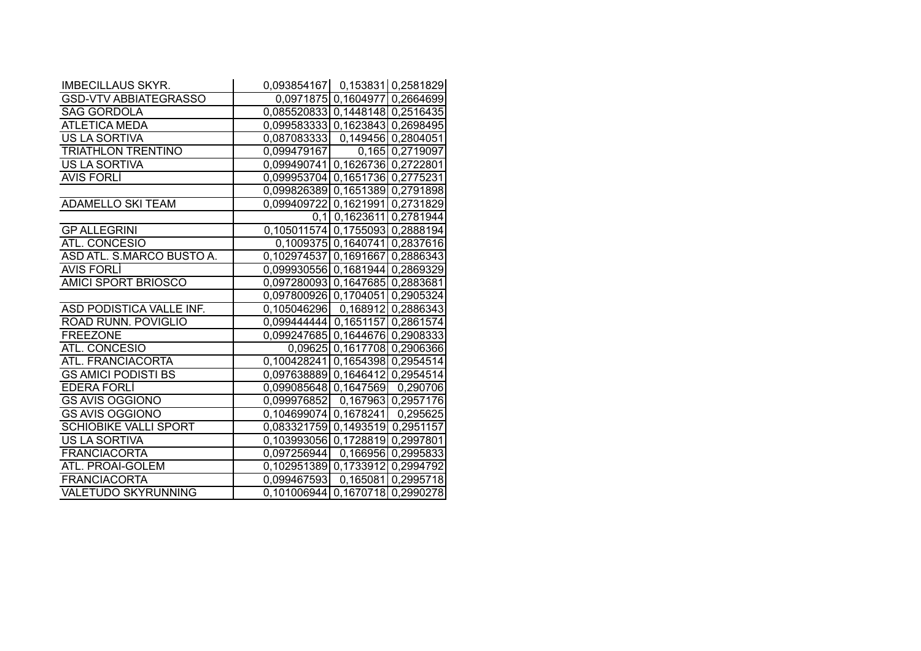| <b>IMBECILLAUS SKYR.</b>     | 0,093854167   0,153831 0,2581829 |                               |
|------------------------------|----------------------------------|-------------------------------|
| <b>GSD-VTV ABBIATEGRASSO</b> |                                  | 0,0971875 0,1604977 0,2664699 |
| <b>SAG GORDOLA</b>           | 0,085520833 0,1448148 0,2516435  |                               |
| <b>ATLETICA MEDA</b>         | 0,099583333 0,1623843 0,2698495  |                               |
| <b>US LA SORTIVA</b>         | 0,087083333 0,149456 0,2804051   |                               |
| <b>TRIATHLON TRENTINO</b>    | $0,099479167$ $0,165$ 0,2719097  |                               |
| <b>US LA SORTIVA</b>         | 0,099490741 0,1626736 0,2722801  |                               |
| <b>AVIS FORLI</b>            | 0,099953704 0,1651736 0,2775231  |                               |
|                              | 0,099826389 0,1651389 0,2791898  |                               |
| <b>ADAMELLO SKI TEAM</b>     | 0,099409722 0,1621991 0,2731829  |                               |
|                              |                                  | 0,1 0,1623611 0,2781944       |
| <b>GP ALLEGRINI</b>          | 0,105011574 0,1755093 0,2888194  |                               |
| ATL. CONCESIO                |                                  | 0,1009375 0,1640741 0,2837616 |
| ASD ATL. S.MARCO BUSTO A.    | 0,102974537 0,1691667 0,2886343  |                               |
| <b>AVIS FORLI</b>            | 0,099930556 0,1681944 0,2869329  |                               |
| AMICI SPORT BRIOSCO          | 0,097280093 0,1647685 0,2883681  |                               |
|                              | 0,097800926 0,1704051 0,2905324  |                               |
| ASD PODISTICA VALLE INF.     | 0,105046296 0,168912 0,2886343   |                               |
| ROAD RUNN. POVIGLIO          | 0,099444444 0,1651157 0,2861574  |                               |
| <b>FREEZONE</b>              | 0,099247685 0,1644676 0,2908333  |                               |
| ATL. CONCESIO                |                                  | 0,09625 0,1617708 0,2906366   |
| ATL. FRANCIACORTA            | 0,100428241 0,1654398 0,2954514  |                               |
| <b>GS AMICI PODISTI BS</b>   | 0,097638889 0,1646412 0,2954514  |                               |
| EDERA FORLI                  | 0,099085648 0,1647569 0,290706   |                               |
| <b>GS AVIS OGGIONO</b>       | 0,099976852  0,167963  0,2957176 |                               |
| <b>GS AVIS OGGIONO</b>       | 0,104699074 0,1678241 0,295625   |                               |
| <b>SCHIOBIKE VALLI SPORT</b> | 0,083321759 0,1493519 0,2951157  |                               |
| <b>US LA SORTIVA</b>         | 0,103993056 0,1728819 0,2997801  |                               |
| <b>FRANCIACORTA</b>          | 0,097256944 0,166956 0,2995833   |                               |
| ATL. PROAI-GOLEM             | 0,102951389 0,1733912 0,2994792  |                               |
| <b>FRANCIACORTA</b>          | 0,099467593  0,165081  0,2995718 |                               |
| <b>VALETUDO SKYRUNNING</b>   | 0,101006944 0,1670718 0,2990278  |                               |